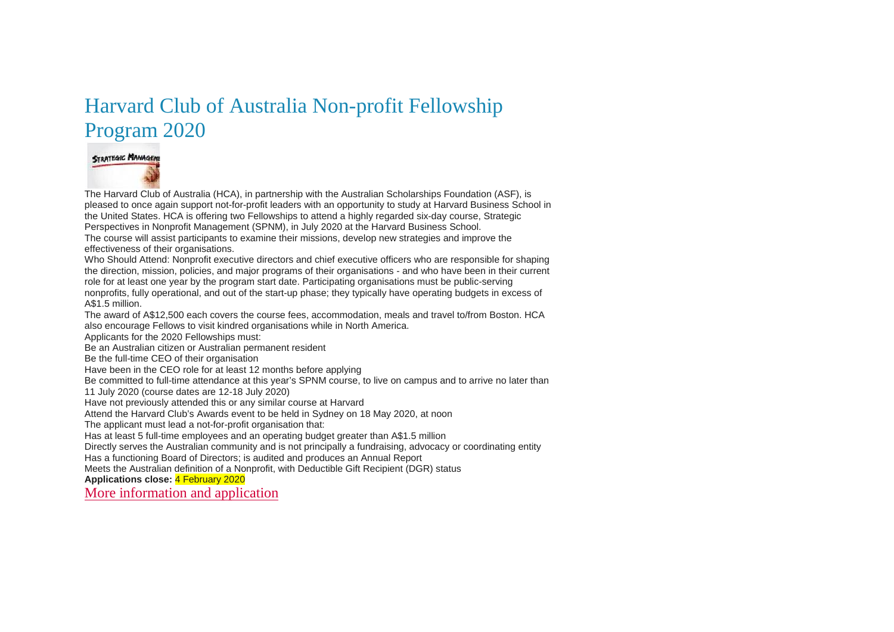### Harvard Club of Australia Non-profit Fellowship Program 2020



The Harvard Club of Australia (HCA), in partnership with the Australian Scholarships Foundation (ASF), is pleased to once again support not-for-profit leaders with an opportunity to study at Harvard Business School in the United States. HCA is offering two Fellowships to attend a highly regarded six-day course, Strategic Perspectives in Nonprofit Management (SPNM), in July 2020 at the Harvard Business School. The course will assist participants to examine their missions, develop new strategies and improve the effectiveness of their organisations. Who Should Attend: Nonprofit executive directors and chief executive officers who are responsible for shaping the direction, mission, policies, and major programs of their organisations - and who have been in their current role for at least one year by the program start date. Participating organisations must be public-serving

nonprofits, fully operational, and out of the start-up phase; they typically have operating budgets in excess of A\$1.5 million.

The award of A\$12,500 each covers the course fees, accommodation, meals and travel to/from Boston. HCA also encourage Fellows to visit kindred organisations while in North America.

Applicants for the 2020 Fellowships must:

Be an Australian citizen or Australian permanent resident

Be the full-time CEO of their organisation

Have been in the CEO role for at least 12 months before applying

Be committed to full-time attendance at this year's SPNM course, to live on campus and to arrive no later than

11 July 2020 (course dates are 12-18 July 2020)

Have not previously attended this or any similar course at Harvard

Attend the Harvard Club's Awards event to be held in Sydney on 18 May 2020, at noon

The applicant must lead a not-for-profit organisation that:

Has at least 5 full-time employees and an operating budget greater than A\$1.5 million

Directly serves the Australian community and is not principally a fundraising, advocacy or coordinating entity

Has a functioning Board of Directors; is audited and produces an Annual Report

Meets the Australian definition of a Nonprofit, with Deductible Gift Recipient (DGR) status

**Applications close:** 4 February 2020

[More information and application](https://www.scholarships.org.au/component/scholarships/scholarships/show?cp_subject=Array&cp_course_type=show_all&cp_location=show_all&cp_text_search=&scholarship_id=e31b3920-4fc9-efa6-45a5-5d830a398cf6)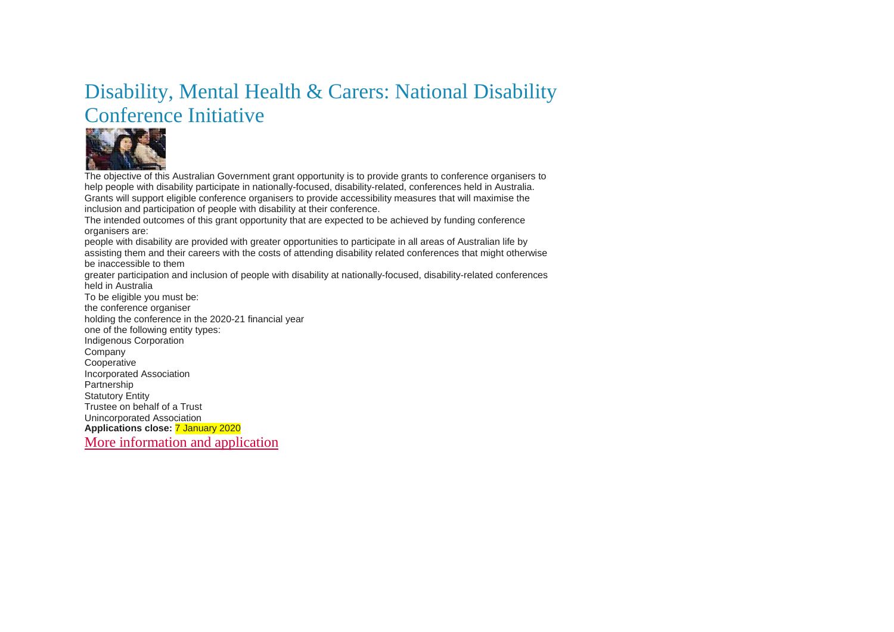### Disability, Mental Health & Carers: National Disability Conference Initiative



The objective of this Australian Government grant opportunity is to provide grants to conference organisers to help people with disability participate in nationally-focused, disability-related, conferences held in Australia. Grants will support eligible conference organisers to provide accessibility measures that will maximise the inclusion and participation of people with disability at their conference.

The intended outcomes of this grant opportunity that are expected to be achieved by funding conference organisers are:

people with disability are provided with greater opportunities to participate in all areas of Australian life by assisting them and their careers with the costs of attending disability related conferences that might otherwise be inaccessible to them

greater participation and inclusion of people with disability at nationally-focused, disability-related conferences held in Australia

To be eligible you must be: the conference organiser holding the conference in the 2020-21 financial year one of the following entity types: Indigenous Corporation Company **Cooperative** Incorporated Association Partnership Statutory Entity Trustee on behalf of a Trust Unincorporated Association **Applications close:** 7 January 2020 [More information and application](https://www.grants.gov.au/?event=public.GO.show&GOUUID=DFCB627F-B418-F96A-A5D5EC047048E6A4)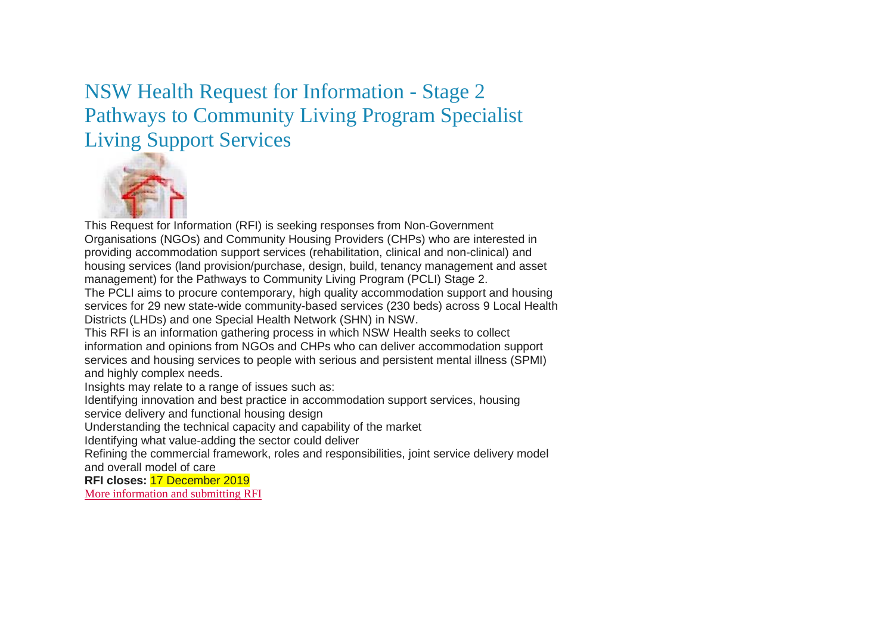NSW Health Request for Information - Stage 2 Pathways to Community Living Program Specialist Living Support Services



This Request for Information (RFI) is seeking responses from Non-Government Organisations (NGOs) and Community Housing Providers (CHPs) who are interested in providing accommodation support services (rehabilitation, clinical and non-clinical) and housing services (land provision/purchase, design, build, tenancy management and asset management) for the Pathways to Community Living Program (PCLI) Stage 2.

The PCLI aims to procure contemporary, high quality accommodation support and housing services for 29 new state-wide community-based services (230 beds) across 9 Local Health Districts (LHDs) and one Special Health Network (SHN) in NSW.

This RFI is an information gathering process in which NSW Health seeks to collect information and opinions from NGOs and CHPs who can deliver accommodation support services and housing services to people with serious and persistent mental illness (SPMI) and highly complex needs.

Insights may relate to a range of issues such as:

Identifying innovation and best practice in accommodation support services, housing

service delivery and functional housing design

Understanding the technical capacity and capability of the market

Identifying what value-adding the sector could deliver

Refining the commercial framework, roles and responsibilities, joint service delivery model and overall model of care

**RFI closes:** 17 December 2019

[More information and submitting RFI](https://tenders.nsw.gov.au/health/?event=public.rft.show&RFTUUID=791C675E-940E-6D40-39EB49813AC57050)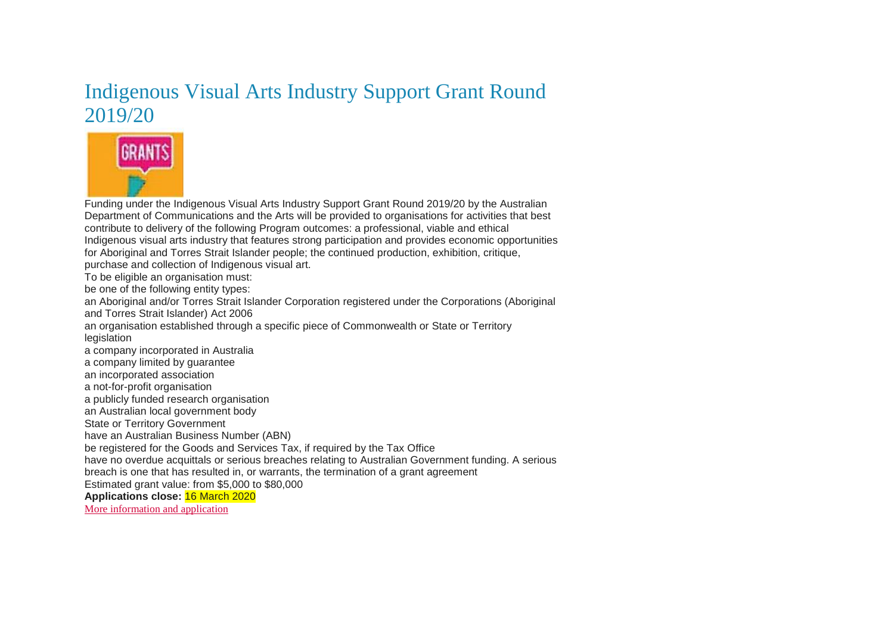### Indigenous Visual Arts Industry Support Grant Round 2019/20



Funding under the Indigenous Visual Arts Industry Support Grant Round 2019/20 by the Australian Department of Communications and the Arts will be provided to organisations for activities that best contribute to delivery of the following Program outcomes: a professional, viable and ethical Indigenous visual arts industry that features strong participation and provides economic opportunities for Aboriginal and Torres Strait Islander people; the continued production, exhibition, critique, purchase and collection of Indigenous visual art. To be eligible an organisation must: be one of the following entity types: an Aboriginal and/or Torres Strait Islander Corporation registered under the Corporations (Aboriginal and Torres Strait Islander) Act 2006 an organisation established through a specific piece of Commonwealth or State or Territory legislation a company incorporated in Australia a company limited by guarantee an incorporated association a not-for-profit organisation a publicly funded research organisation an Australian local government body State or Territory Government have an Australian Business Number (ABN) be registered for the Goods and Services Tax, if required by the Tax Office have no overdue acquittals or serious breaches relating to Australian Government funding. A serious breach is one that has resulted in, or warrants, the termination of a grant agreement Estimated grant value: from \$5,000 to \$80,000 **Applications close:** 16 March 2020 [More information and application](https://www.grants.gov.au/?event=public.GO.show&GOUUID=3EC6B23E-AC17-CB43-6750E4BB69B5DBA4)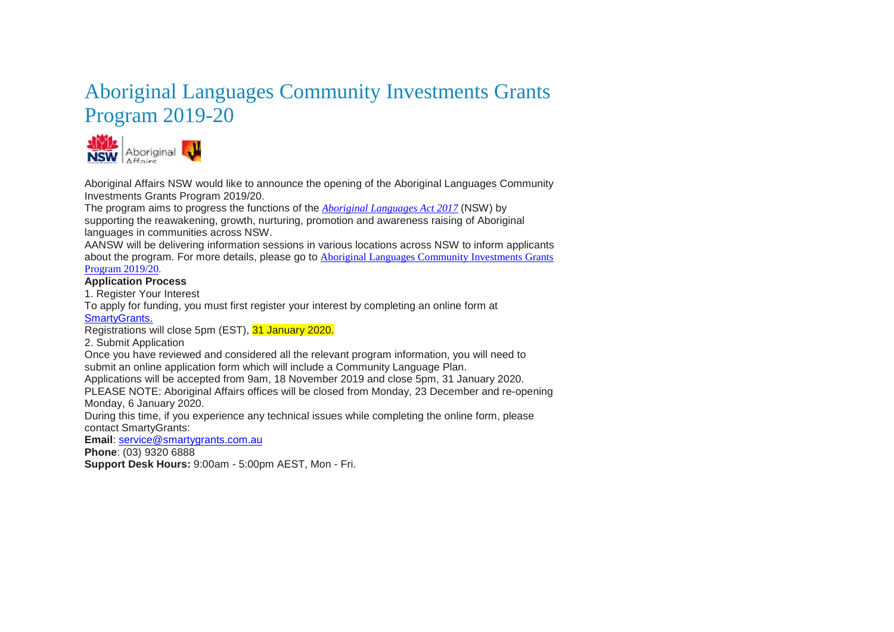### Aboriginal Languages Community Investments Grants Program 2019-20



Aboriginal Affairs NSW would like to announce the opening of the Aboriginal Languages Community Investments Grants Program 2019/20.

The program aims to progress the functions of the *[Aboriginal Languages Act 2017](https://www.aboriginalaffairs.nsw.gov.au/pdfs/languages-legislation/Aboriginal-Languages-Act-2017.pdf)* (NSW) by

supporting the reawakening, growth, nurturing, promotion and awareness raising of Aboriginal languages in communities across NSW.

AANSW will be delivering information sessions in various locations across NSW to inform applicants about the program. For more details, please go to [Aboriginal Languages Community Investments Grants](https://www.aboriginalaffairs.nsw.gov.au/policy-reform/language-and-culture/aboriginal-languages-community-investments-2019-20) 

### [Program 2019/20.](https://www.aboriginalaffairs.nsw.gov.au/policy-reform/language-and-culture/aboriginal-languages-community-investments-2019-20)

#### **Application Process**

1. Register Your Interest

To apply for funding, you must first register your interest by completing an online form at [SmartyGrants.](https://aboriginalaffairs.smartygrants.com.au/)

Registrations will close 5pm (EST), 31 January 2020.

2. Submit Application

Once you have reviewed and considered all the relevant program information, you will need to submit an online application form which will include a Community Language Plan.

Applications will be accepted from 9am, 18 November 2019 and close 5pm, 31 January 2020.

PLEASE NOTE: Aboriginal Affairs offices will be closed from Monday, 23 December and re-opening Monday, 6 January 2020.

During this time, if you experience any technical issues while completing the online form, please contact SmartyGrants:

**Email**: [service@smartygrants.com.au](mailto:service@smartygrants.com.au)

**Phone**: (03) 9320 6888

**Support Desk Hours:** 9:00am - 5:00pm AEST, Mon - Fri.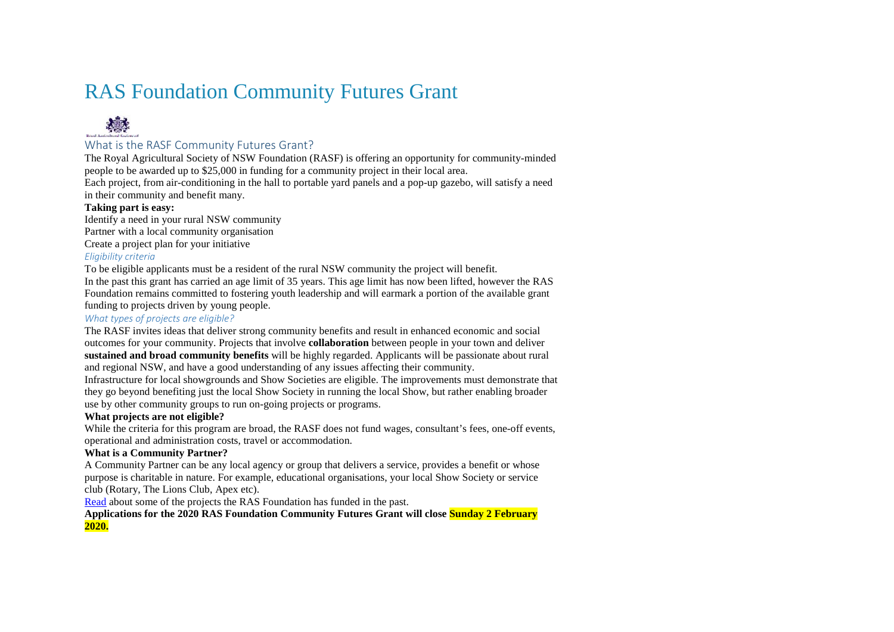### RAS Foundation Community Futures Grant



### What is the RASF Community Futures Grant?

The Royal Agricultural Society of NSW Foundation (RASF) is offering an opportunity for community-minded people to be awarded up to \$25,000 in funding for a community project in their local area.

Each project, from air-conditioning in the hall to portable yard panels and a pop-up gazebo, will satisfy a need in their community and benefit many.

#### **Taking part is easy:**

Identify a need in your rural NSW community

Partner with a local community organisation

Create a project plan for your initiative

#### *Eligibility criteria*

To be eligible applicants must be a resident of the rural NSW community the project will benefit.

In the past this grant has carried an age limit of 35 years. This age limit has now been lifted, however the RAS Foundation remains committed to fostering youth leadership and will earmark a portion of the available grant funding to projects driven by young people.

#### *What types of projects are eligible?*

The RASF invites ideas that deliver strong community benefits and result in enhanced economic and social outcomes for your community. Projects that involve **collaboration** between people in your town and deliver **sustained and broad community benefits** will be highly regarded. Applicants will be passionate about rural and regional NSW, and have a good understanding of any issues affecting their community.

Infrastructure for local showgrounds and Show Societies are eligible. The improvements must demonstrate that they go beyond benefiting just the local Show Society in running the local Show, but rather enabling broader use by other community groups to run on-going projects or programs.

#### **What projects are not eligible?**

While the criteria for this program are broad, the RASF does not fund wages, consultant's fees, one-off events, operational and administration costs, travel or accommodation.

#### **What is a Community Partner?**

A Community Partner can be any local agency or group that delivers a service, provides a benefit or whose purpose is charitable in nature. For example, educational organisations, your local Show Society or service club (Rotary, The Lions Club, Apex etc).

[Read](https://www.rasnsw.com.au/link/a549318c97354dc3bddc120b7024bb31.aspx) about some of the projects the RAS Foundation has funded in the past.

**Applications for the 2020 RAS Foundation Community Futures Grant will close Sunday 2 February 2020.**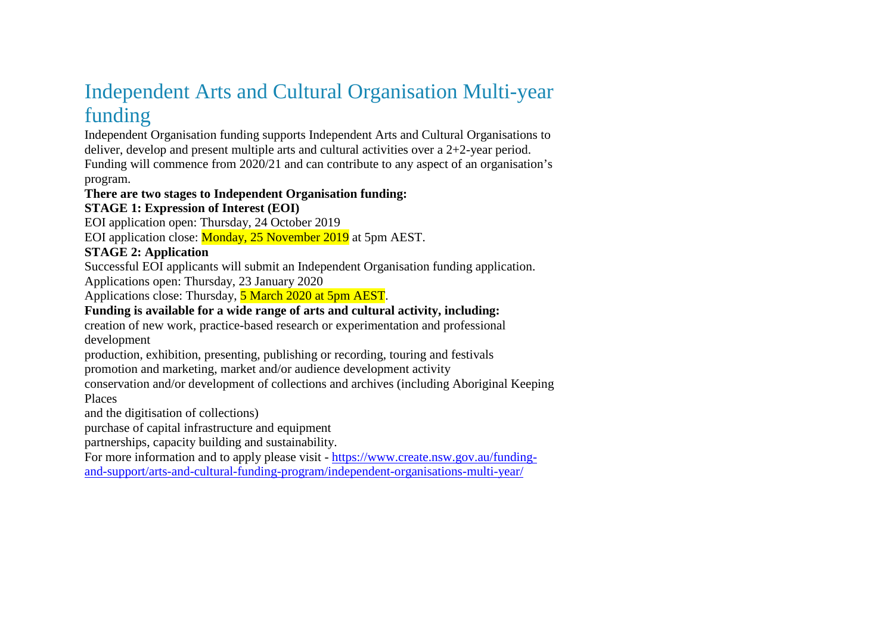### Independent Arts and Cultural Organisation Multi-year funding

Independent Organisation funding supports Independent Arts and Cultural Organisations to deliver, develop and present multiple arts and cultural activities over a 2+2-year period. Funding will commence from 2020/21 and can contribute to any aspect of an organisation's program.

### **There are two stages to Independent Organisation funding:**

### **STAGE 1: Expression of Interest (EOI)**

EOI application open: Thursday, 24 October 2019

EOI application close: Monday, 25 November 2019 at 5pm AEST.

### **STAGE 2: Application**

Successful EOI applicants will submit an Independent Organisation funding application.

Applications open: Thursday, 23 January 2020

Applications close: Thursday, 5 March 2020 at 5pm AEST.

### **Funding is available for a wide range of arts and cultural activity, including:**

creation of new work, practice-based research or experimentation and professional development

production, exhibition, presenting, publishing or recording, touring and festivals

promotion and marketing, market and/or audience development activity

conservation and/or development of collections and archives (including Aboriginal Keeping

Places

and the digitisation of collections)

purchase of capital infrastructure and equipment

partnerships, capacity building and sustainability.

For more information and to apply please visit - [https://www.create.nsw.gov.au/funding-](https://www.create.nsw.gov.au/funding-and-support/arts-and-cultural-funding-program/independent-organisations-multi-year/)

[and-support/arts-and-cultural-funding-program/independent-organisations-multi-year/](https://www.create.nsw.gov.au/funding-and-support/arts-and-cultural-funding-program/independent-organisations-multi-year/)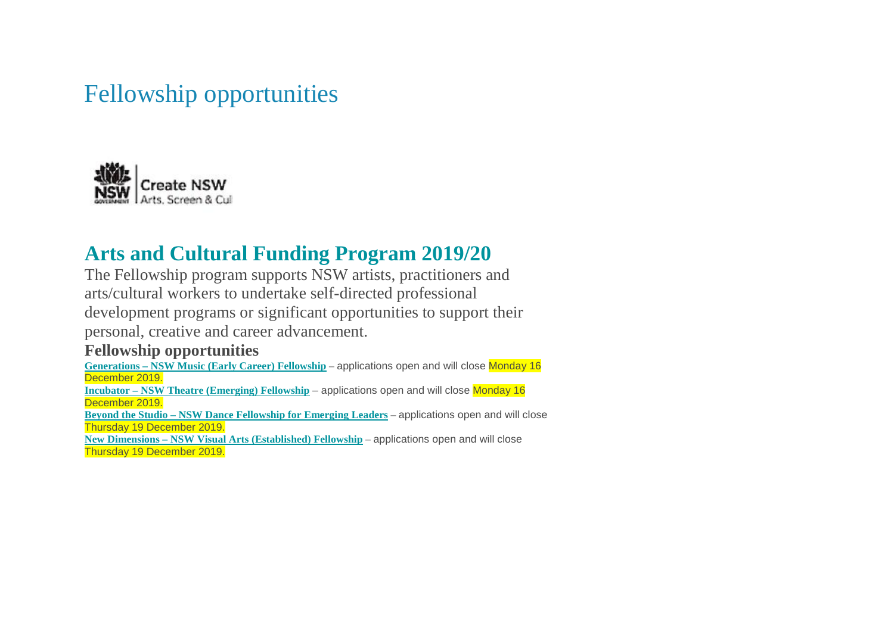# Fellowship opportunities



### **Arts and Cultural Funding Program 2019/20**

The Fellowship program supports NSW artists, practitioners and arts/cultural workers to undertake self-directed professional development programs or significant opportunities to support their personal, creative and career advancement.

### **Fellowship opportunities**

**Generations – [NSW Music \(Early Career\) Fellowship](https://www.create.nsw.gov.au/funding-and-support/arts-and-cultural-funding-program/fellowships-nsw-music-generations/)** – applications open and will close Monday 16 December 2019.

**Incubator – [NSW Theatre \(Emerging\) Fellowship](http://www.create.nsw.gov.au/funding-and-support/arts-and-cultural-funding-program/fellowships-nsw-theatre-incubator/)** – applications open and will close Monday 16 December 2019.

**Beyond the Studio – [NSW Dance Fellowship for Emerging Leaders](https://www.create.nsw.gov.au/funding-and-support/arts-and-cultural-funding-program/fellowships-nsw-dance-beyond-the-studio/)** – applications open and will close Thursday 19 December 2019.

**New Dimensions – [NSW Visual Arts \(Established\) Fellowship](https://www.create.nsw.gov.au/funding-and-support/arts-and-cultural-funding-program/fellowships-nsw-visual-arts-new-dimensions/)** – applications open and will close Thursday 19 December 2019.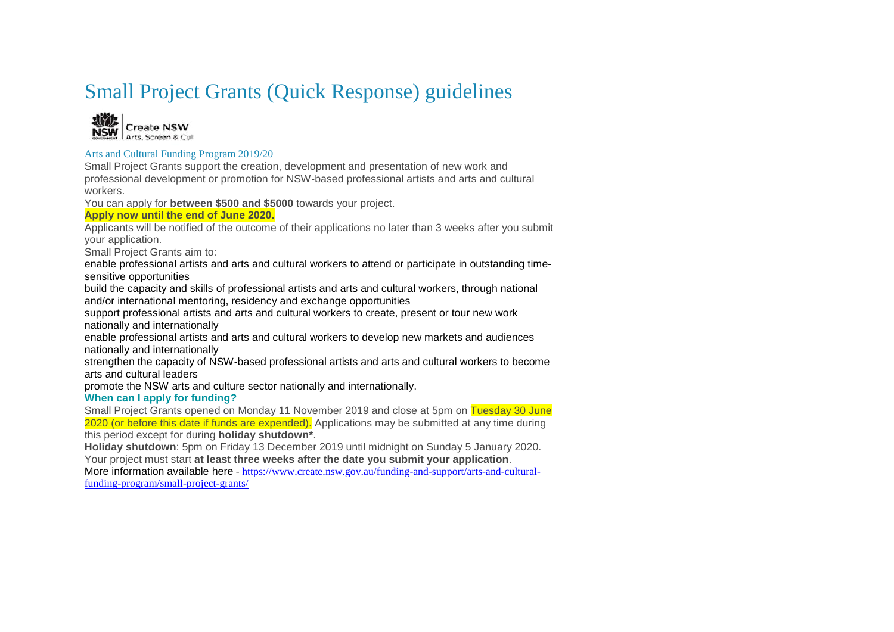### Small Project Grants (Quick Response) guidelines



#### Arts and Cultural Funding Program 2019/20

Small Project Grants support the creation, development and presentation of new work and professional development or promotion for NSW-based professional artists and arts and cultural workers.

You can apply for **between \$500 and \$5000** towards your project.

#### **Apply now until the end of June 2020.**

Applicants will be notified of the outcome of their applications no later than 3 weeks after you submit your application.

Small Project Grants aim to:

enable professional artists and arts and cultural workers to attend or participate in outstanding timesensitive opportunities

build the capacity and skills of professional artists and arts and cultural workers, through national and/or international mentoring, residency and exchange opportunities

support professional artists and arts and cultural workers to create, present or tour new work nationally and internationally

enable professional artists and arts and cultural workers to develop new markets and audiences nationally and internationally

strengthen the capacity of NSW-based professional artists and arts and cultural workers to become arts and cultural leaders

promote the NSW arts and culture sector nationally and internationally.

#### **When can I apply for funding?**

Small Project Grants opened on Monday 11 November 2019 and close at 5pm on Tuesday 30 June 2020 (or before this date if funds are expended). Applications may be submitted at any time during this period except for during **holiday shutdown\***.

**Holiday shutdown**: 5pm on Friday 13 December 2019 until midnight on Sunday 5 January 2020. Your project must start **at least three weeks after the date you submit your application**.

More information available here - [https://www.create.nsw.gov.au/funding-and-support/arts-and-cultural](https://www.create.nsw.gov.au/funding-and-support/arts-and-cultural-funding-program/small-project-grants/)[funding-program/small-project-grants/](https://www.create.nsw.gov.au/funding-and-support/arts-and-cultural-funding-program/small-project-grants/)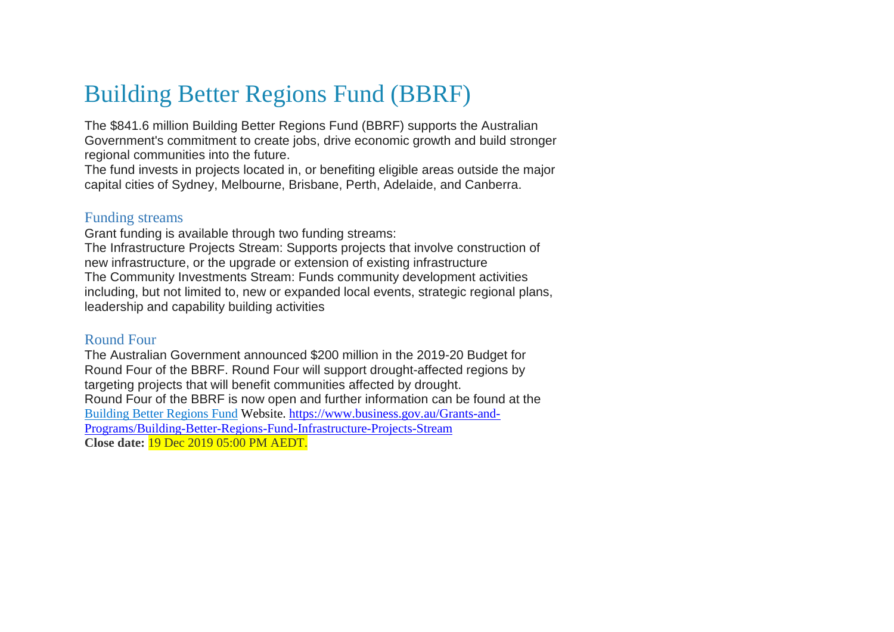# Building Better Regions Fund (BBRF)

The \$841.6 million Building Better Regions Fund (BBRF) supports the Australian Government's commitment to create jobs, drive economic growth and build stronger regional communities into the future.

The fund invests in projects located in, or benefiting eligible areas outside the major capital cities of Sydney, Melbourne, Brisbane, Perth, Adelaide, and Canberra.

### Funding streams

Grant funding is available through two funding streams: The Infrastructure Projects Stream: Supports projects that involve construction of new infrastructure, or the upgrade or extension of existing infrastructure The Community Investments Stream: Funds community development activities including, but not limited to, new or expanded local events, strategic regional plans, leadership and capability building activities

### Round Four

The Australian Government announced \$200 million in the 2019-20 Budget for Round Four of the BBRF. Round Four will support drought-affected regions by targeting projects that will benefit communities affected by drought. Round Four of the BBRF is now open and further information can be found at the [Building Better Regions Fund](https://www.business.gov.au/SearchResult?query=Building+Better+Regions+Fund&useAndSearch=true&type=1) Website. [https://www.business.gov.au/Grants-and-](https://www.business.gov.au/Grants-and-Programs/Building-Better-Regions-Fund-Infrastructure-Projects-Stream)[Programs/Building-Better-Regions-Fund-Infrastructure-Projects-Stream](https://www.business.gov.au/Grants-and-Programs/Building-Better-Regions-Fund-Infrastructure-Projects-Stream) **Close date:** 19 Dec 2019 05:00 PM AEDT.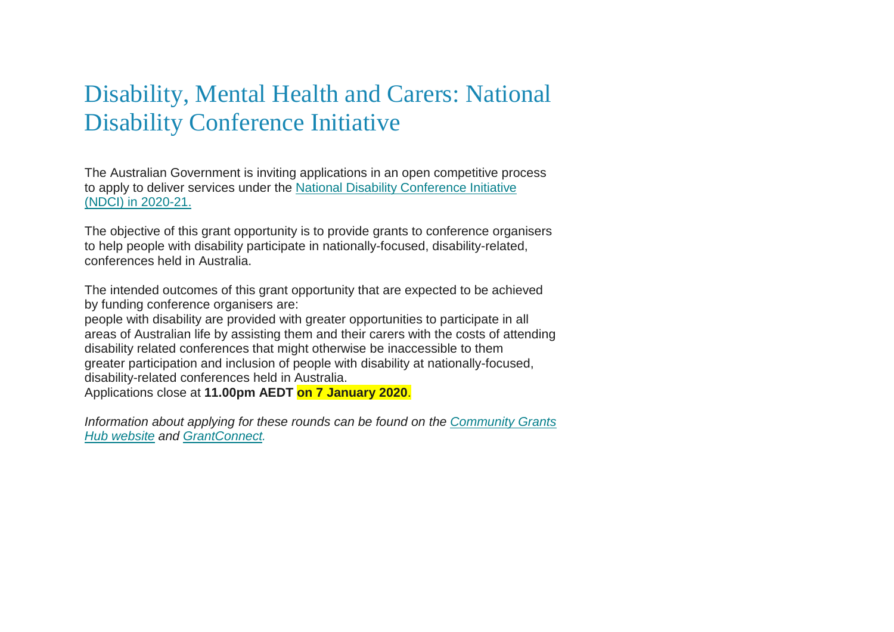# Disability, Mental Health and Carers: National Disability Conference Initiative

The Australian Government is inviting applications in an open competitive process to apply to deliver services under the [National Disability Conference Initiative](https://communitygrants.us8.list-manage.com/track/click?u=5a834fc7e9ea18683d489f459&id=fa4296501d&e=8c5eba007d)  [\(NDCI\) in 2020-21.](https://communitygrants.us8.list-manage.com/track/click?u=5a834fc7e9ea18683d489f459&id=fa4296501d&e=8c5eba007d)

The objective of this grant opportunity is to provide grants to conference organisers to help people with disability participate in nationally-focused, disability-related, conferences held in Australia.

The intended outcomes of this grant opportunity that are expected to be achieved by funding conference organisers are:

people with disability are provided with greater opportunities to participate in all areas of Australian life by assisting them and their carers with the costs of attending disability related conferences that might otherwise be inaccessible to them greater participation and inclusion of people with disability at nationally-focused, disability-related conferences held in Australia.

Applications close at **11.00pm AEDT on 7 January 2020**.

*Information about applying for these rounds can be found on the [Community Grants](https://communitygrants.us8.list-manage.com/track/click?u=5a834fc7e9ea18683d489f459&id=3b00d2499f&e=8c5eba007d)  [Hub website](https://communitygrants.us8.list-manage.com/track/click?u=5a834fc7e9ea18683d489f459&id=3b00d2499f&e=8c5eba007d) and [GrantConnect.](https://communitygrants.us8.list-manage.com/track/click?u=5a834fc7e9ea18683d489f459&id=e0620af155&e=8c5eba007d)*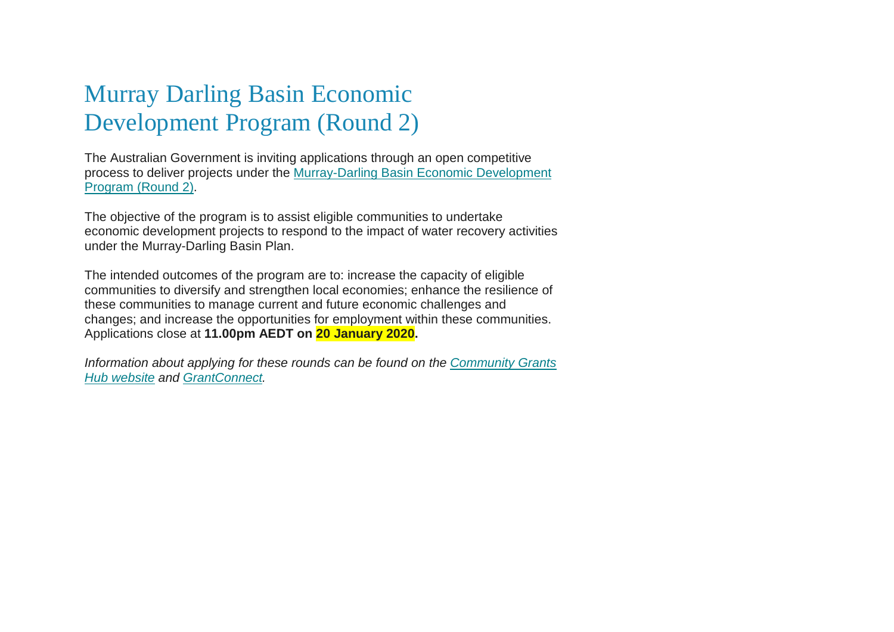# Murray Darling Basin Economic Development Program (Round 2)

The Australian Government is inviting applications through an open competitive process to deliver projects under the [Murray-Darling Basin Economic Development](https://communitygrants.us8.list-manage.com/track/click?u=5a834fc7e9ea18683d489f459&id=73b5ddec81&e=8c5eba007d)  [Program \(Round 2\).](https://communitygrants.us8.list-manage.com/track/click?u=5a834fc7e9ea18683d489f459&id=73b5ddec81&e=8c5eba007d)

The objective of the program is to assist eligible communities to undertake economic development projects to respond to the impact of water recovery activities under the Murray-Darling Basin Plan.

The intended outcomes of the program are to: increase the capacity of eligible communities to diversify and strengthen local economies; enhance the resilience of these communities to manage current and future economic challenges and changes; and increase the opportunities for employment within these communities. Applications close at **11.00pm AEDT on 20 January 2020.**

*Information about applying for these rounds can be found on the [Community Grants](https://communitygrants.us8.list-manage.com/track/click?u=5a834fc7e9ea18683d489f459&id=b15c99e39b&e=8c5eba007d)  [Hub website](https://communitygrants.us8.list-manage.com/track/click?u=5a834fc7e9ea18683d489f459&id=b15c99e39b&e=8c5eba007d) and [GrantConnect.](https://communitygrants.us8.list-manage.com/track/click?u=5a834fc7e9ea18683d489f459&id=fc6fcc657b&e=8c5eba007d)*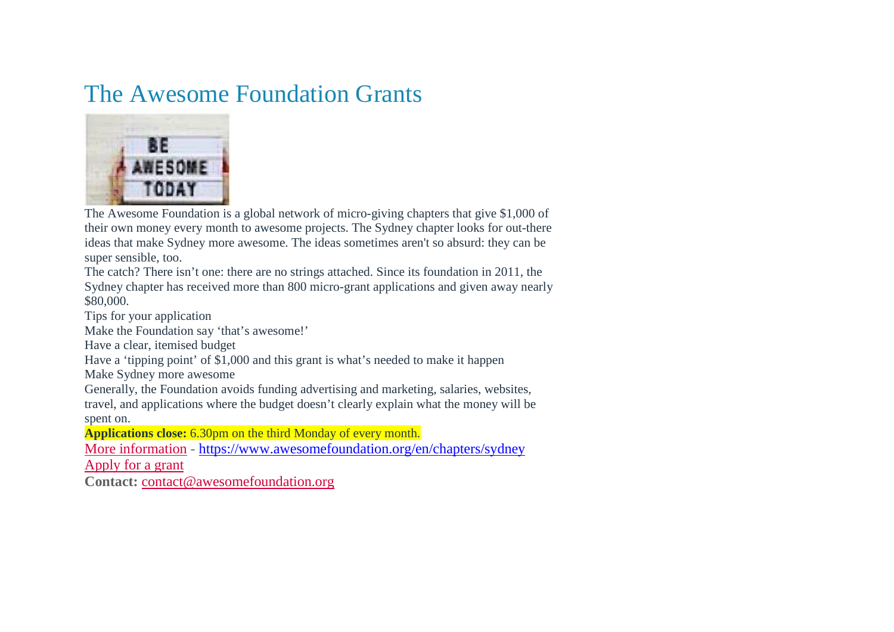### The Awesome Foundation Grants



The Awesome Foundation is a global network of micro-giving chapters that give \$1,000 of their own money every month to awesome projects. The Sydney chapter looks for out-there ideas that make Sydney more awesome. The ideas sometimes aren't so absurd: they can be super sensible, too.

The catch? There isn't one: there are no strings attached. Since its foundation in 2011, the Sydney chapter has received more than 800 micro-grant applications and given away nearly \$80,000.

Tips for your application

Make the Foundation say 'that's awesome!'

Have a clear, itemised budget

Have a 'tipping point' of \$1,000 and this grant is what's needed to make it happen

Make Sydney more awesome

Generally, the Foundation avoids funding advertising and marketing, salaries, websites, travel, and applications where the budget doesn't clearly explain what the money will be spent on.

**Applications close:** 6.30pm on the third Monday of every month.

[More information](https://www.awesomefoundation.org/en/chapters/sydney) - <https://www.awesomefoundation.org/en/chapters/sydney>

[Apply for a grant](https://www.awesomefoundation.org/en/submissions/new?chapter=sydney)

**Contact:** [contact@awesomefoundation.org](mailto:contact@awesomefoundation.org)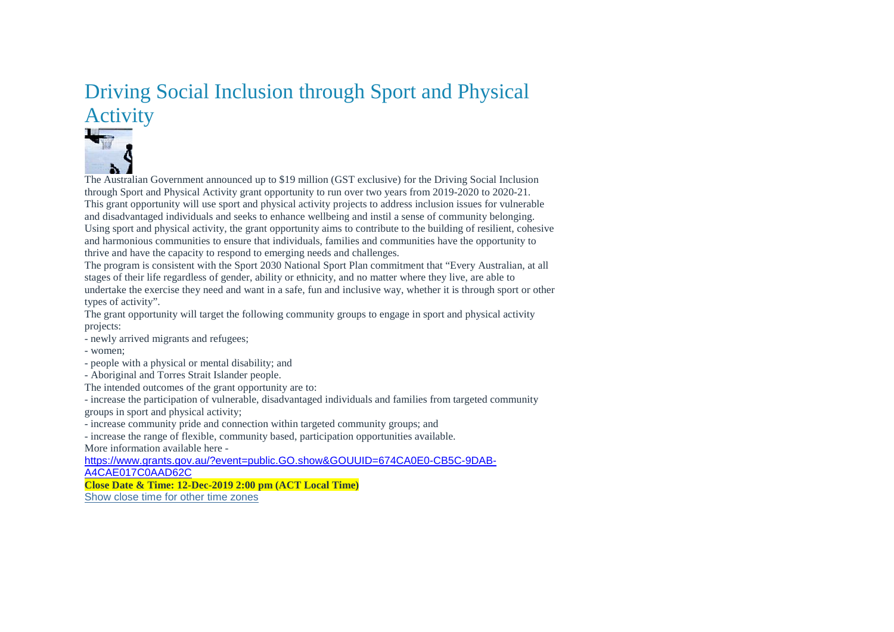### Driving Social Inclusion through Sport and Physical Activity



The Australian Government announced up to \$19 million (GST exclusive) for the Driving Social Inclusion through Sport and Physical Activity grant opportunity to run over two years from 2019-2020 to 2020-21. This grant opportunity will use sport and physical activity projects to address inclusion issues for vulnerable and disadvantaged individuals and seeks to enhance wellbeing and instil a sense of community belonging. Using sport and physical activity, the grant opportunity aims to contribute to the building of resilient, cohesive and harmonious communities to ensure that individuals, families and communities have the opportunity to thrive and have the capacity to respond to emerging needs and challenges.

The program is consistent with the Sport 2030 National Sport Plan commitment that "Every Australian, at all stages of their life regardless of gender, ability or ethnicity, and no matter where they live, are able to undertake the exercise they need and want in a safe, fun and inclusive way, whether it is through sport or other types of activity".

The grant opportunity will target the following community groups to engage in sport and physical activity projects:

- newly arrived migrants and refugees;

- women;

- people with a physical or mental disability; and

- Aboriginal and Torres Strait Islander people.

The intended outcomes of the grant opportunity are to:

- increase the participation of vulnerable, disadvantaged individuals and families from targeted community groups in sport and physical activity;

- increase community pride and connection within targeted community groups; and

- increase the range of flexible, community based, participation opportunities available. More information available here -

[https://www.grants.gov.au/?event=public.GO.show&GOUUID=674CA0E0-CB5C-9DAB-](https://www.grants.gov.au/?event=public.GO.show&GOUUID=674CA0E0-CB5C-9DAB-A4CAE017C0AAD62C)[A4CAE017C0AAD62C](https://www.grants.gov.au/?event=public.GO.show&GOUUID=674CA0E0-CB5C-9DAB-A4CAE017C0AAD62C)

**Close Date & Time: 12-Dec-2019 2:00 pm (ACT Local Time)** [Show close time for other time zones](https://www.grants.gov.au/?event=public.timezone.view&closeDate=12-Dec-2019&closeTime=14:00&type=public)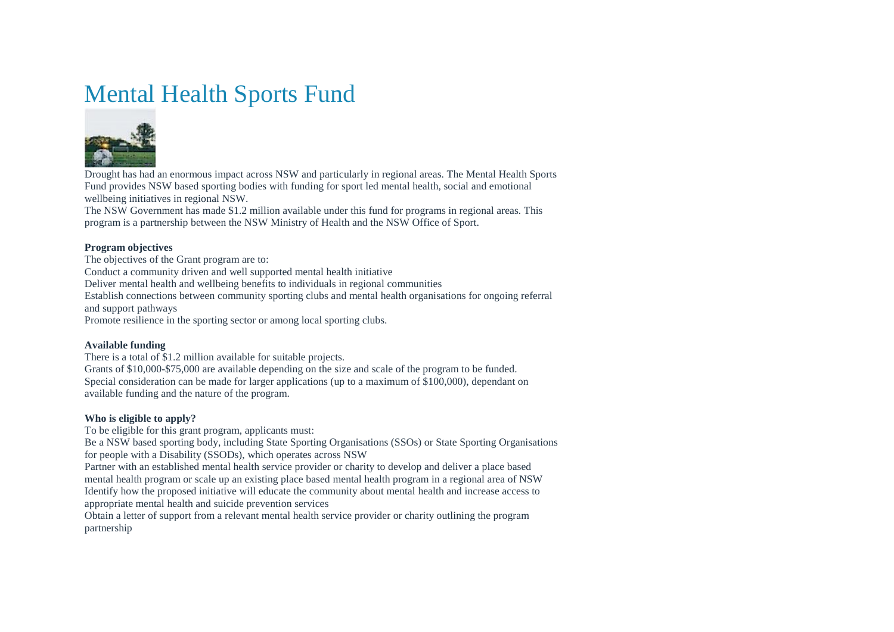# Mental Health Sports Fund



Drought has had an enormous impact across NSW and particularly in regional areas. The Mental Health Sports Fund provides NSW based sporting bodies with funding for sport led mental health, social and emotional wellbeing initiatives in regional NSW.

The NSW Government has made \$1.2 million available under this fund for programs in regional areas. This program is a partnership between the NSW Ministry of Health and the NSW Office of Sport.

#### **Program objectives**

The objectives of the Grant program are to:

Conduct a community driven and well supported mental health initiative

Deliver mental health and wellbeing benefits to individuals in regional communities

Establish connections between community sporting clubs and mental health organisations for ongoing referral and support pathways

Promote resilience in the sporting sector or among local sporting clubs.

#### **Available funding**

There is a total of \$1.2 million available for suitable projects.

Grants of \$10,000-\$75,000 are available depending on the size and scale of the program to be funded. Special consideration can be made for larger applications (up to a maximum of \$100,000), dependant on available funding and the nature of the program.

#### **Who is eligible to apply?**

To be eligible for this grant program, applicants must:

Be a NSW based sporting body, including State Sporting Organisations (SSOs) or State Sporting Organisations for people with a Disability (SSODs), which operates across NSW

Partner with an established mental health service provider or charity to develop and deliver a place based mental health program or scale up an existing place based mental health program in a regional area of NSW Identify how the proposed initiative will educate the community about mental health and increase access to appropriate mental health and suicide prevention services

Obtain a letter of support from a relevant mental health service provider or charity outlining the program partnership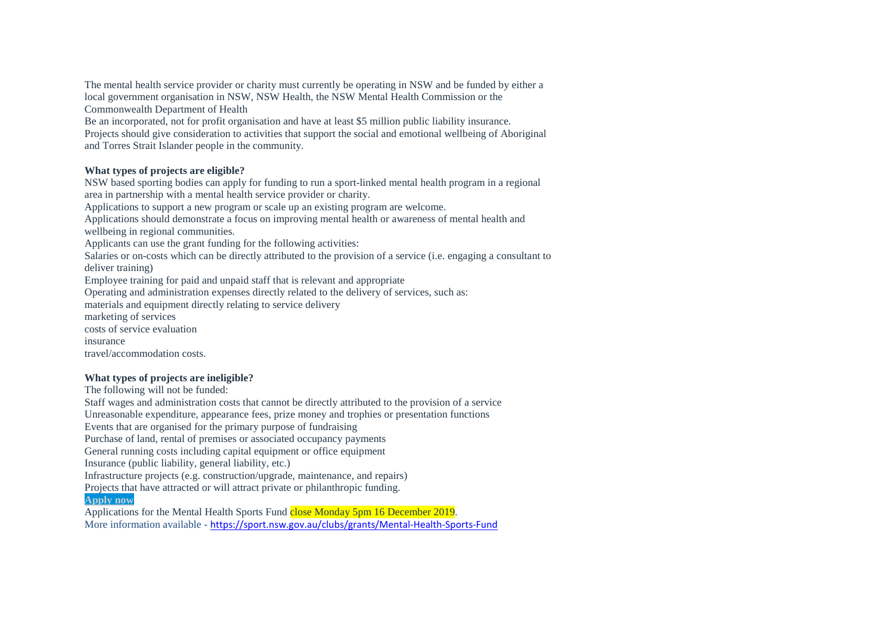The mental health service provider or charity must currently be operating in NSW and be funded by either a local government organisation in NSW, NSW Health, the NSW Mental Health Commission or the Commonwealth Department of Health

Be an incorporated, not for profit organisation and have at least \$5 million public liability insurance. Projects should give consideration to activities that support the social and emotional wellbeing of Aboriginal and Torres Strait Islander people in the community.

#### **What types of projects are eligible?**

NSW based sporting bodies can apply for funding to run a sport-linked mental health program in a regional area in partnership with a mental health service provider or charity.

Applications to support a new program or scale up an existing program are welcome.

Applications should demonstrate a focus on improving mental health or awareness of mental health and wellbeing in regional communities.

Applicants can use the grant funding for the following activities:

Salaries or on-costs which can be directly attributed to the provision of a service (i.e. engaging a consultant to deliver training)

Employee training for paid and unpaid staff that is relevant and appropriate

Operating and administration expenses directly related to the delivery of services, such as:

materials and equipment directly relating to service delivery

marketing of services

costs of service evaluation

insurance

travel/accommodation costs.

#### **What types of projects are ineligible?**

The following will not be funded:

Staff wages and administration costs that cannot be directly attributed to the provision of a service Unreasonable expenditure, appearance fees, prize money and trophies or presentation functions

Events that are organised for the primary purpose of fundraising

Purchase of land, rental of premises or associated occupancy payments

General running costs including capital equipment or office equipment

Insurance (public liability, general liability, etc.)

Infrastructure projects (e.g. construction/upgrade, maintenance, and repairs)

Projects that have attracted or will attract private or philanthropic funding.

#### **[Apply now](https://grants.sport.nsw.gov.au/CGI-BIN/LANSAWEB?PROCFUN+GNTPR000+GNTFMHS+DEM+ENG)**

Applications for the Mental Health Sports Fund close Monday 5pm 16 December 2019. More information available - <https://sport.nsw.gov.au/clubs/grants/Mental-Health-Sports-Fund>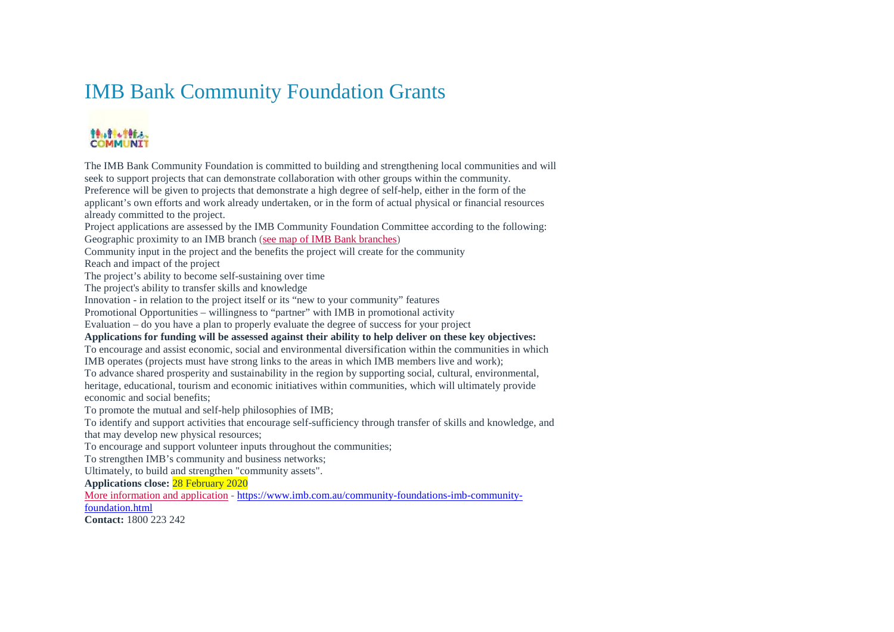### IMB Bank Community Foundation Grants

#### 特に付ける。 **COMMUNIT**

The IMB Bank Community Foundation is committed to building and strengthening local communities and will seek to support projects that can demonstrate collaboration with other groups within the community. Preference will be given to projects that demonstrate a high degree of self-help, either in the form of the applicant's own efforts and work already undertaken, or in the form of actual physical or financial resources already committed to the project. Project applications are assessed by the IMB Community Foundation Committee according to the following: Geographic proximity to an IMB branch [\(see map of IMB Bank](https://www.imb.com.au/locate) branches) Community input in the project and the benefits the project will create for the community Reach and impact of the project The project's ability to become self-sustaining over time The project's ability to transfer skills and knowledge Innovation - in relation to the project itself or its "new to your community" features Promotional Opportunities – willingness to "partner" with IMB in promotional activity Evaluation – do you have a plan to properly evaluate the degree of success for your project **Applications for funding will be assessed against their ability to help deliver on these key objectives:** To encourage and assist economic, social and environmental diversification within the communities in which IMB operates (projects must have strong links to the areas in which IMB members live and work); To advance shared prosperity and sustainability in the region by supporting social, cultural, environmental, heritage, educational, tourism and economic initiatives within communities, which will ultimately provide economic and social benefits; To promote the mutual and self-help philosophies of IMB; To identify and support activities that encourage self-sufficiency through transfer of skills and knowledge, and that may develop new physical resources; To encourage and support volunteer inputs throughout the communities; To strengthen IMB's community and business networks; Ultimately, to build and strengthen "community assets". **Applications close:** 28 February 2020 [More information and application](https://www.imb.com.au/community-foundations-imb-community-foundation.html) - [https://www.imb.com.au/community-foundations-imb-community](https://www.imb.com.au/community-foundations-imb-community-foundation.html)[foundation.html](https://www.imb.com.au/community-foundations-imb-community-foundation.html)

**Contact:** 1800 223 242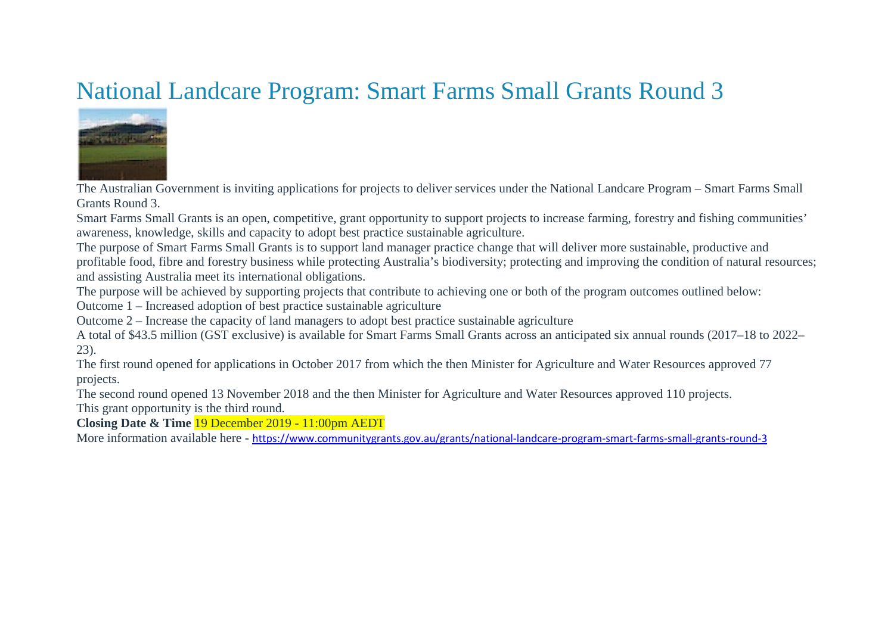# National Landcare Program: Smart Farms Small Grants Round 3



The Australian Government is inviting applications for projects to deliver services under the National Landcare Program – Smart Farms Small Grants Round 3.

Smart Farms Small Grants is an open, competitive, grant opportunity to support projects to increase farming, forestry and fishing communities' awareness, knowledge, skills and capacity to adopt best practice sustainable agriculture.

The purpose of Smart Farms Small Grants is to support land manager practice change that will deliver more sustainable, productive and profitable food, fibre and forestry business while protecting Australia's biodiversity; protecting and improving the condition of natural resources; and assisting Australia meet its international obligations.

The purpose will be achieved by supporting projects that contribute to achieving one or both of the program outcomes outlined below:

Outcome 1 – Increased adoption of best practice sustainable agriculture

Outcome 2 – Increase the capacity of land managers to adopt best practice sustainable agriculture

A total of \$43.5 million (GST exclusive) is available for Smart Farms Small Grants across an anticipated six annual rounds (2017–18 to 2022– 23).

The first round opened for applications in October 2017 from which the then Minister for Agriculture and Water Resources approved 77 projects.

The second round opened 13 November 2018 and the then Minister for Agriculture and Water Resources approved 110 projects.

This grant opportunity is the third round.

**Closing Date & Time** 19 December 2019 - 11:00pm AEDT

More information available here - <https://www.communitygrants.gov.au/grants/national-landcare-program-smart-farms-small-grants-round-3>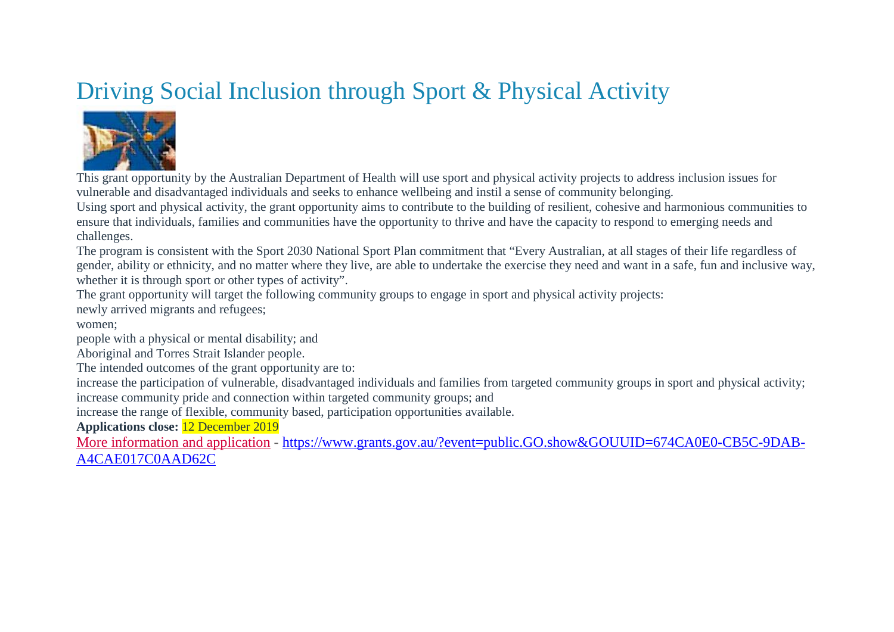# Driving Social Inclusion through Sport & Physical Activity



This grant opportunity by the Australian Department of Health will use sport and physical activity projects to address inclusion issues for vulnerable and disadvantaged individuals and seeks to enhance wellbeing and instil a sense of community belonging.

Using sport and physical activity, the grant opportunity aims to contribute to the building of resilient, cohesive and harmonious communities to ensure that individuals, families and communities have the opportunity to thrive and have the capacity to respond to emerging needs and challenges.

The program is consistent with the Sport 2030 National Sport Plan commitment that "Every Australian, at all stages of their life regardless of gender, ability or ethnicity, and no matter where they live, are able to undertake the exercise they need and want in a safe, fun and inclusive way, whether it is through sport or other types of activity".

The grant opportunity will target the following community groups to engage in sport and physical activity projects: newly arrived migrants and refugees;

### women;

people with a physical or mental disability; and

Aboriginal and Torres Strait Islander people.

The intended outcomes of the grant opportunity are to:

increase the participation of vulnerable, disadvantaged individuals and families from targeted community groups in sport and physical activity; increase community pride and connection within targeted community groups; and

increase the range of flexible, community based, participation opportunities available.

**Applications close:** 12 December 2019

[More information and application](https://www.grants.gov.au/?event=public.GO.show&GOUUID=674CA0E0-CB5C-9DAB-A4CAE017C0AAD62C) - [https://www.grants.gov.au/?event=public.GO.show&GOUUID=674CA0E0-CB5C-9DAB-](https://www.grants.gov.au/?event=public.GO.show&GOUUID=674CA0E0-CB5C-9DAB-A4CAE017C0AAD62C)[A4CAE017C0AAD62C](https://www.grants.gov.au/?event=public.GO.show&GOUUID=674CA0E0-CB5C-9DAB-A4CAE017C0AAD62C)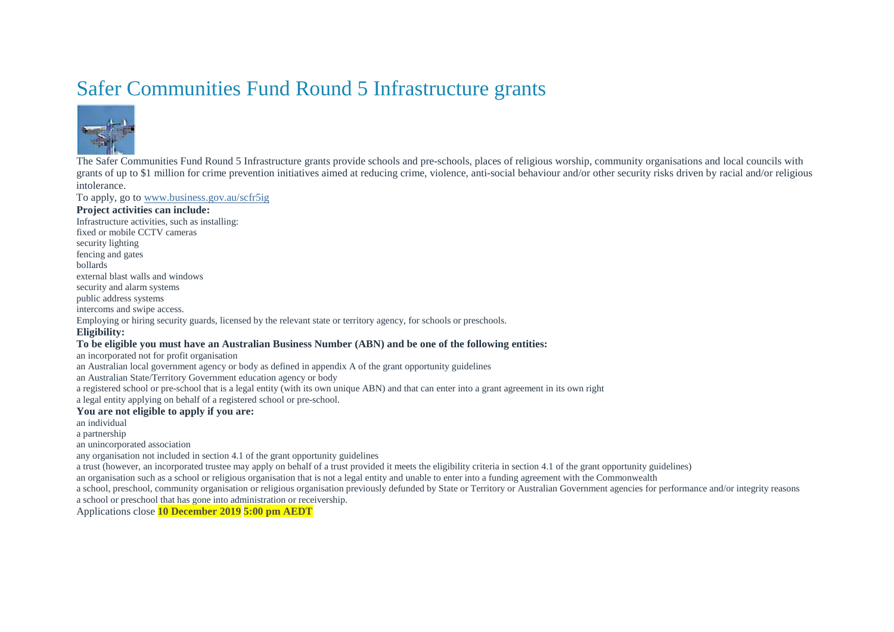### Safer Communities Fund Round 5 Infrastructure grants



The Safer Communities Fund Round 5 Infrastructure grants provide schools and pre-schools, places of religious worship, community organisations and local councils with grants of up to \$1 million for crime prevention initiatives aimed at reducing crime, violence, anti-social behaviour and/or other security risks driven by racial and/or religious intolerance.

To apply, go to [www.business.gov.au/scfr5ig](http://www.business.gov.au/scfr5ig)

#### **Project activities can include:**

Infrastructure activities, such as installing: fixed or mobile CCTV cameras security lighting fencing and gates bollards external blast walls and windows security and alarm systems public address systems intercoms and swipe access. Employing or hiring security guards, licensed by the relevant state or territory agency, for schools or preschools. **Eligibility: To be eligible you must have an Australian Business Number (ABN) and be one of the following entities:** an incorporated not for profit organisation

an Australian local government agency or body as defined in appendix A of the grant opportunity guidelines

an Australian State/Territory Government education agency or body

a registered school or pre-school that is a legal entity (with its own unique ABN) and that can enter into a grant agreement in its own right

a legal entity applying on behalf of a registered school or pre-school.

#### **You are not eligible to apply if you are:**

an individual

a partnership

an unincorporated association

any organisation not included in section 4.1 of the grant opportunity guidelines

a trust (however, an incorporated trustee may apply on behalf of a trust provided it meets the eligibility criteria in section 4.1 of the grant opportunity guidelines)

an organisation such as a school or religious organisation that is not a legal entity and unable to enter into a funding agreement with the Commonwealth

a school, preschool, community organisation or religious organisation previously defunded by State or Territory or Australian Government agencies for performance and/or integrity reasons a school or preschool that has gone into administration or receivership.

Applications close **10 December 2019 5:00 pm AEDT**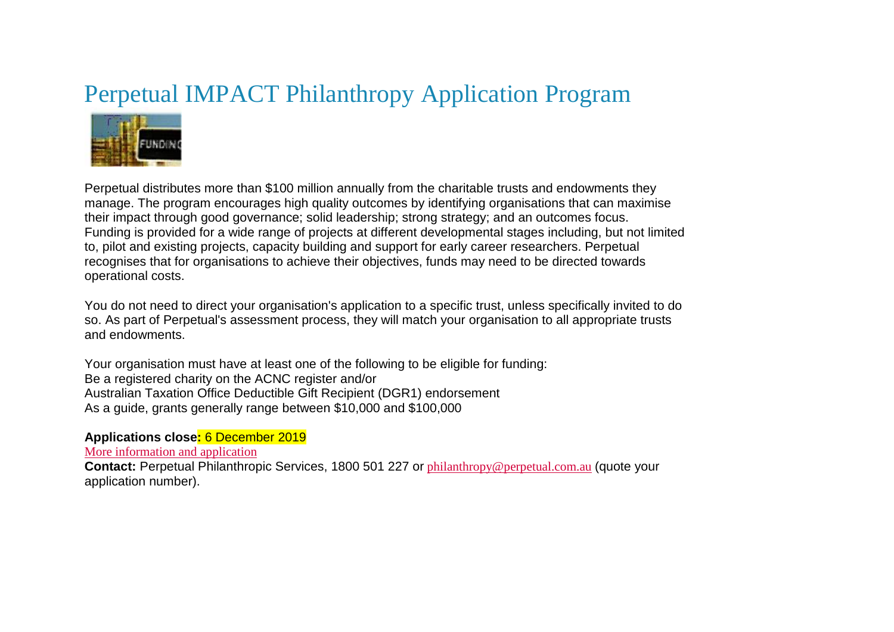# Perpetual IMPACT Philanthropy Application Program



Perpetual distributes more than \$100 million annually from the charitable trusts and endowments they manage. The program encourages high quality outcomes by identifying organisations that can maximise their impact through good governance; solid leadership; strong strategy; and an outcomes focus. Funding is provided for a wide range of projects at different developmental stages including, but not limited to, pilot and existing projects, capacity building and support for early career researchers. Perpetual recognises that for organisations to achieve their objectives, funds may need to be directed towards operational costs.

You do not need to direct your organisation's application to a specific trust, unless specifically invited to do so. As part of Perpetual's assessment process, they will match your organisation to all appropriate trusts and endowments.

Your organisation must have at least one of the following to be eligible for funding: Be a registered charity on the ACNC register and/or Australian Taxation Office Deductible Gift Recipient (DGR1) endorsement As a guide, grants generally range between \$10,000 and \$100,000

### **Applications close:** 6 December 2019

[More information and application](https://www.perpetual.com.au/advice-and-trustee-services/impact-philanthropy/impact-funding/)

**Contact:** Perpetual Philanthropic Services, 1800 501 227 or [philanthropy@perpetual.com.au](mailto:philanthropy@perpetual.com.au) (quote your application number).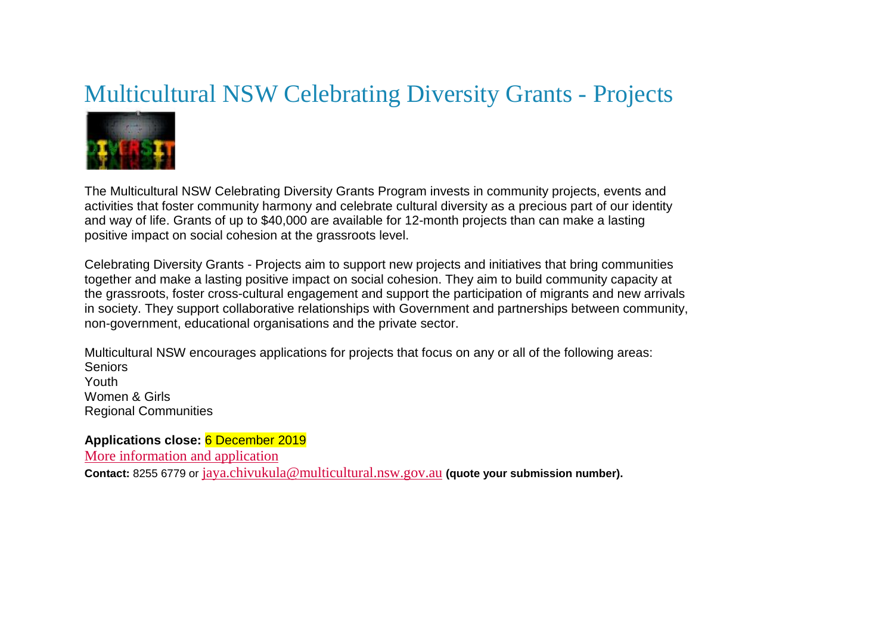### Multicultural NSW Celebrating Diversity Grants - Projects



The Multicultural NSW Celebrating Diversity Grants Program invests in community projects, events and activities that foster community harmony and celebrate cultural diversity as a precious part of our identity and way of life. Grants of up to \$40,000 are available for 12-month projects than can make a lasting positive impact on social cohesion at the grassroots level.

Celebrating Diversity Grants - Projects aim to support new projects and initiatives that bring communities together and make a lasting positive impact on social cohesion. They aim to build community capacity at the grassroots, foster cross-cultural engagement and support the participation of migrants and new arrivals in society. They support collaborative relationships with Government and partnerships between community, non-government, educational organisations and the private sector.

Multicultural NSW encourages applications for projects that focus on any or all of the following areas: Seniors Youth Women & Girls Regional Communities

**Applications close:** 6 December 2019 [More information and application](https://multicultural.nsw.gov.au/grants/) **Contact:** 8255 6779 or [jaya.chivukula@multicultural.nsw.gov.au](mailto:jaya.chivukula@multicultural.nsw.gov.au) **(quote your submission number).**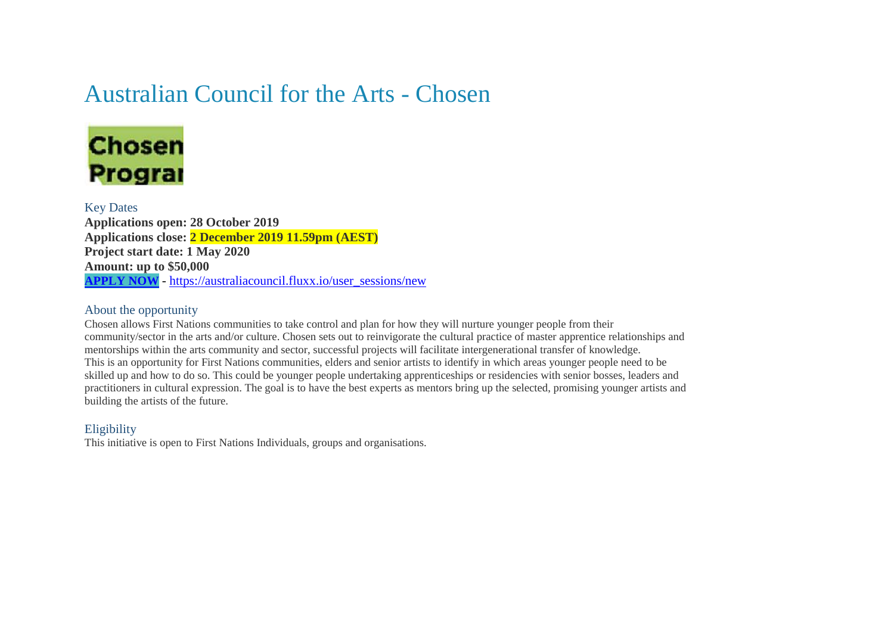### Australian Council for the Arts - Chosen



### Key Dates

**Applications open: 28 October 2019 Applications close: 2 December 2019 11.59pm (AEST) Project start date: 1 May 2020 Amount: up to \$50,000 [APPLY NOW](https://australiacouncil.fluxx.io/user_sessions/new)** - [https://australiacouncil.fluxx.io/user\\_sessions/new](https://australiacouncil.fluxx.io/user_sessions/new)

### About the opportunity

Chosen allows First Nations communities to take control and plan for how they will nurture younger people from their community/sector in the arts and/or culture. Chosen sets out to reinvigorate the cultural practice of master apprentice relationships and mentorships within the arts community and sector, successful projects will facilitate intergenerational transfer of knowledge. This is an opportunity for First Nations communities, elders and senior artists to identify in which areas younger people need to be skilled up and how to do so. This could be younger people undertaking apprenticeships or residencies with senior bosses, leaders and practitioners in cultural expression. The goal is to have the best experts as mentors bring up the selected, promising younger artists and building the artists of the future.

### Eligibility

This initiative is open to First Nations Individuals, groups and organisations.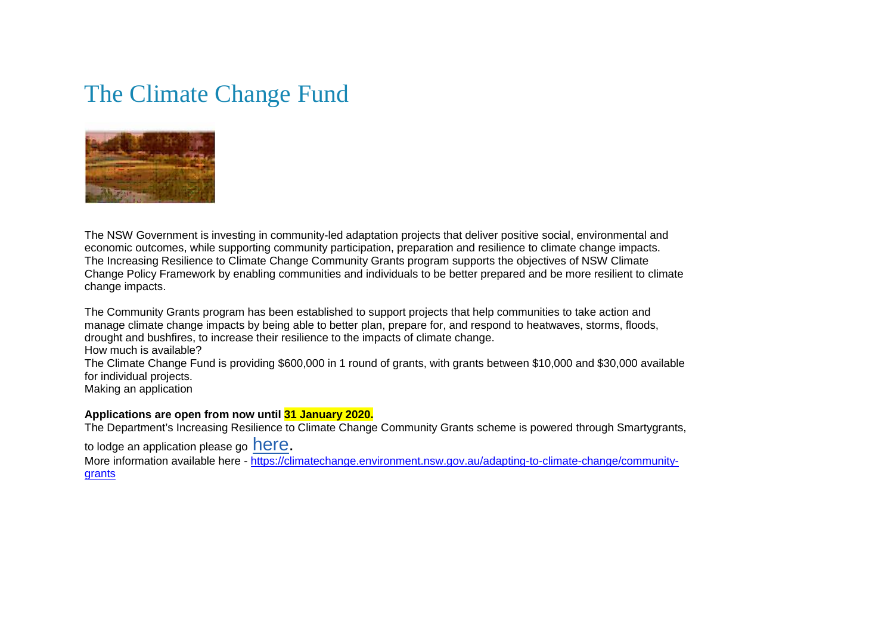### The Climate Change Fund



The NSW Government is investing in community-led adaptation projects that deliver positive social, environmental and economic outcomes, while supporting community participation, preparation and resilience to climate change impacts. The Increasing Resilience to Climate Change Community Grants program supports the objectives of NSW Climate Change Policy Framework by enabling communities and individuals to be better prepared and be more resilient to climate change impacts.

The Community Grants program has been established to support projects that help communities to take action and manage climate change impacts by being able to better plan, prepare for, and respond to heatwaves, storms, floods, drought and bushfires, to increase their resilience to the impacts of climate change. How much is available?

The Climate Change Fund is providing \$600,000 in 1 round of grants, with grants between \$10,000 and \$30,000 available for individual projects.

Making an application

#### **Applications are open from now until 31 January 2020.**

The Department's Increasing Resilience to Climate Change Community Grants scheme is powered through Smartygrants,

to lodge an application please go **here**.

More information available here - [https://climatechange.environment.nsw.gov.au/adapting-to-climate-change/community](https://climatechange.environment.nsw.gov.au/adapting-to-climate-change/community-grants)[grants](https://climatechange.environment.nsw.gov.au/adapting-to-climate-change/community-grants)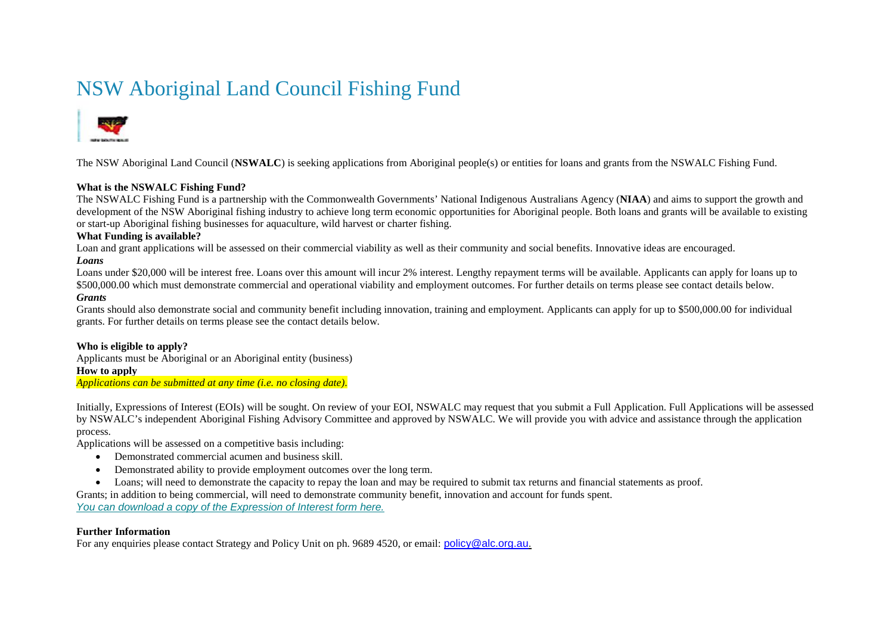### NSW Aboriginal Land Council Fishing Fund



The NSW Aboriginal Land Council (**NSWALC**) is seeking applications from Aboriginal people(s) or entities for loans and grants from the NSWALC Fishing Fund.

#### **What is the NSWALC Fishing Fund?**

The NSWALC Fishing Fund is a partnership with the Commonwealth Governments' National Indigenous Australians Agency (**NIAA**) and aims to support the growth and development of the NSW Aboriginal fishing industry to achieve long term economic opportunities for Aboriginal people. Both loans and grants will be available to existing or start-up Aboriginal fishing businesses for aquaculture, wild harvest or charter fishing.

#### **What Funding is available?**

Loan and grant applications will be assessed on their commercial viability as well as their community and social benefits. Innovative ideas are encouraged. *Loans*

Loans under \$20,000 will be interest free. Loans over this amount will incur 2% interest. Lengthy repayment terms will be available. Applicants can apply for loans up to \$500,000.00 which must demonstrate commercial and operational viability and employment outcomes. For further details on terms please see contact details below. *Grants*

#### Grants should also demonstrate social and community benefit including innovation, training and employment. Applicants can apply for up to \$500,000.00 for individual grants. For further details on terms please see the contact details below.

#### **Who is eligible to apply?**

Applicants must be Aboriginal or an Aboriginal entity (business) **How to apply** *Applications can be submitted at any time (i.e. no closing date)*.

Initially, Expressions of Interest (EOIs) will be sought. On review of your EOI, NSWALC may request that you submit a Full Application. Full Applications will be assessed by NSWALC's independent Aboriginal Fishing Advisory Committee and approved by NSWALC. We will provide you with advice and assistance through the application process.

Applications will be assessed on a competitive basis including:

- Demonstrated commercial acumen and business skill.
- Demonstrated ability to provide employment outcomes over the long term.
- Loans; will need to demonstrate the capacity to repay the loan and may be required to submit tax returns and financial statements as proof.

Grants; in addition to being commercial, will need to demonstrate community benefit, innovation and account for funds spent.

*[You can download a copy of the Expression of Interest form here.](https://aus01.safelinks.protection.outlook.com/?url=https%3A%2F%2Falc.us20.list-manage.com%2Ftrack%2Fclick%3Fu%3De5d667ed04f04a084475f03ee%26id%3Dc0534a07ed%26e%3D0ee6bd4c99&data=02%7C01%7C%7C36467c1f69064888733c08d734e8487d%7C6d8b62679cc04227b0b16a01c14e2d9b%7C0%7C0%7C637036044566043496&sdata=9Cdx%2Fz3Su4%2Bx4S8tiUir8izRnhA96cjV49sNZjG0qEU%3D&reserved=0)*

#### **Further Information**

For any enquiries please contact Strategy and Policy Unit on ph. 9689 4520, or email: [policy@alc.org.au.](mailto:policy@alc.org.au)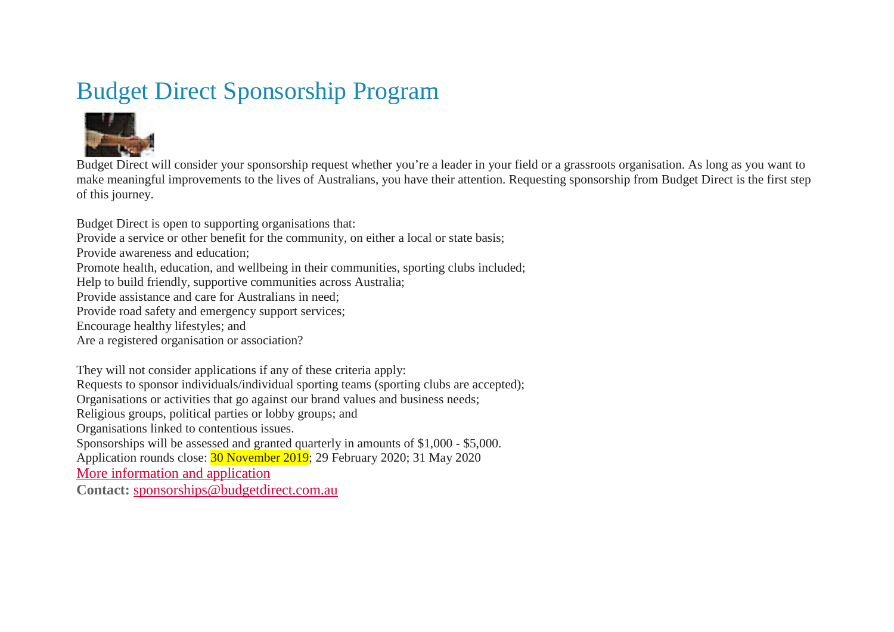# Budget Direct Sponsorship Program



Budget Direct will consider your sponsorship request whether you're a leader in your field or a grassroots organisation. As long as you want to make meaningful improvements to the lives of Australians, you have their attention. Requesting sponsorship from Budget Direct is the first step of this journey.

Budget Direct is open to supporting organisations that:

- Provide a service or other benefit for the community, on either a local or state basis;
- Provide awareness and education;
- Promote health, education, and wellbeing in their communities, sporting clubs included;
- Help to build friendly, supportive communities across Australia;
- Provide assistance and care for Australians in need;
- Provide road safety and emergency support services;
- Encourage healthy lifestyles; and
- Are a registered organisation or association?

They will not consider applications if any of these criteria apply: Requests to sponsor individuals/individual sporting teams (sporting clubs are accepted); Organisations or activities that go against our brand values and business needs; Religious groups, political parties or lobby groups; and Organisations linked to contentious issues. Sponsorships will be assessed and granted quarterly in amounts of \$1,000 - \$5,000. Application rounds close: 30 November 2019; 29 February 2020; 31 May 2020 [More information and application](https://www.budgetdirect.com.au/about-us/sponsorships.html)

**Contact:** [sponsorships@budgetdirect.com.au](mailto:sponsorships@budgetdirect.com.au)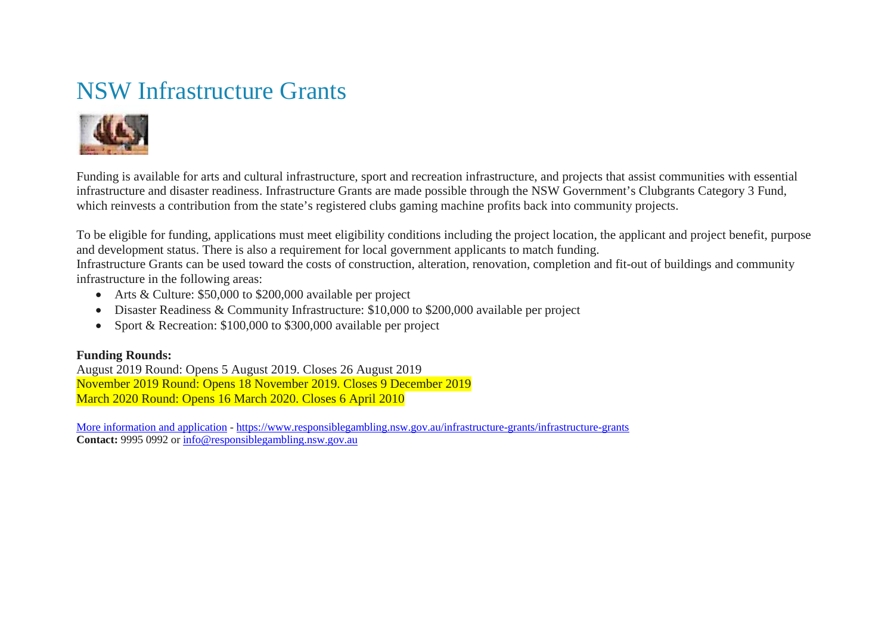# NSW Infrastructure Grants



Funding is available for arts and cultural infrastructure, sport and recreation infrastructure, and projects that assist communities with essential infrastructure and disaster readiness. Infrastructure Grants are made possible through the NSW Government's Clubgrants Category 3 Fund, which reinvests a contribution from the state's registered clubs gaming machine profits back into community projects.

To be eligible for funding, applications must meet eligibility conditions including the project location, the applicant and project benefit, purpose and development status. There is also a requirement for local government applicants to match funding.

Infrastructure Grants can be used toward the costs of construction, alteration, renovation, completion and fit-out of buildings and community infrastructure in the following areas:

- Arts & Culture: \$50,000 to \$200,000 available per project
- Disaster Readiness & Community Infrastructure: \$10,000 to \$200,000 available per project
- Sport & Recreation: \$100,000 to \$300,000 available per project

### **Funding Rounds:**

August 2019 Round: Opens 5 August 2019. Closes 26 August 2019 November 2019 Round: Opens 18 November 2019. Closes 9 December 2019 March 2020 Round: Opens 16 March 2020. Closes 6 April 2010

[More information and application](https://www.responsiblegambling.nsw.gov.au/infrastructure-grants/infrastructure-grants) - <https://www.responsiblegambling.nsw.gov.au/infrastructure-grants/infrastructure-grants> **Contact:** 9995 0992 or [info@responsiblegambling.nsw.gov.au](mailto:info@responsiblegambling.nsw.gov.au)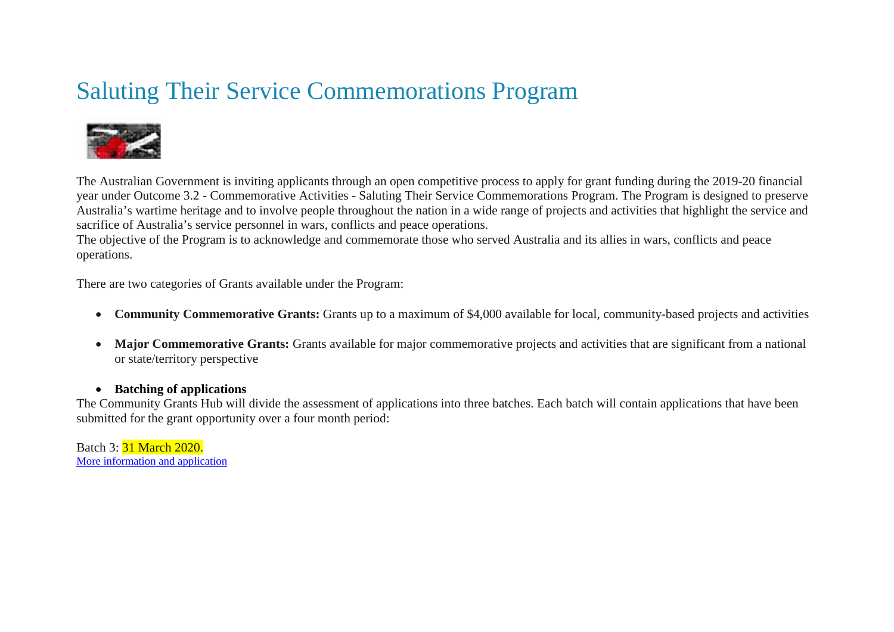# Saluting Their Service Commemorations Program



The Australian Government is inviting applicants through an open competitive process to apply for grant funding during the 2019-20 financial year under Outcome 3.2 - Commemorative Activities - Saluting Their Service Commemorations Program. The Program is designed to preserve Australia's wartime heritage and to involve people throughout the nation in a wide range of projects and activities that highlight the service and sacrifice of Australia's service personnel in wars, conflicts and peace operations.

The objective of the Program is to acknowledge and commemorate those who served Australia and its allies in wars, conflicts and peace operations.

There are two categories of Grants available under the Program:

- **Community Commemorative Grants:** Grants up to a maximum of \$4,000 available for local, community-based projects and activities
- Major Commemorative Grants: Grants available for major commemorative projects and activities that are significant from a national or state/territory perspective

### • **Batching of applications**

The Community Grants Hub will divide the assessment of applications into three batches. Each batch will contain applications that have been submitted for the grant opportunity over a four month period:

Batch 3: 31 March 2020. [More information and application](https://www.grants.gov.au/?event=public.GO.show&GOUUID=9A8C438B-EFCE-78AF-B4F3AF8B7D8182EE)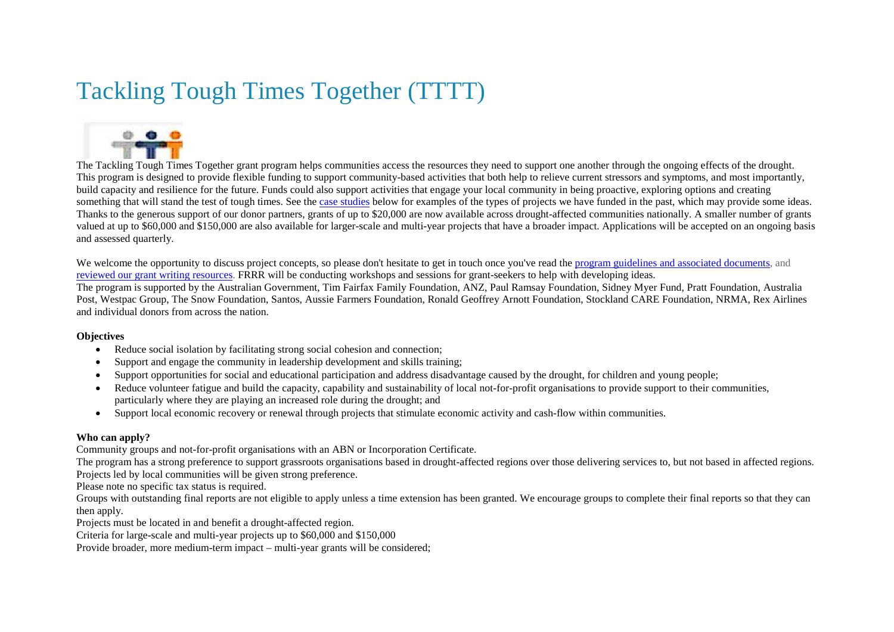# Tackling Tough Times Together (TTTT)



The Tackling Tough Times Together grant program helps communities access the resources they need to support one another through the ongoing effects of the drought. This program is designed to provide flexible funding to support community-based activities that both help to relieve current stressors and symptoms, and most importantly, build capacity and resilience for the future. Funds could also support activities that engage your local community in being proactive, exploring options and creating something that will stand the test of tough times. See the [case studies](https://www.frrr.org.au/grants/tackling_tough_times_together.php) below for examples of the types of projects we have funded in the past, which may provide some ideas. Thanks to the generous support of our donor partners, grants of up to \$20,000 are now available across drought-affected communities nationally. A smaller number of grants valued at up to \$60,000 and \$150,000 are also available for larger-scale and multi-year projects that have a broader impact. Applications will be accepted on an ongoing basis and assessed quarterly.

We welcome the opportunity to discuss project concepts, so please don't hesitate to get in touch once you've read the [program guidelines and associated documents,](https://www.frrr.org.au/grants/tackling_tough_times_together.php) and [reviewed our grant writing resources.](https://www.frrr.org.au/cb_pages/tips_for_great_applications.php) FRRR will be conducting workshops and sessions for grant-seekers to help with developing ideas.

The program is supported by the Australian Government, Tim Fairfax Family Foundation, ANZ, Paul Ramsay Foundation, Sidney Myer Fund, Pratt Foundation, Australia Post, Westpac Group, The Snow Foundation, Santos, Aussie Farmers Foundation, Ronald Geoffrey Arnott Foundation, Stockland CARE Foundation, NRMA, Rex Airlines and individual donors from across the nation.

#### **Objectives**

- Reduce social isolation by facilitating strong social cohesion and connection;
- Support and engage the community in leadership development and skills training;
- Support opportunities for social and educational participation and address disadvantage caused by the drought, for children and young people;
- Reduce volunteer fatigue and build the capacity, capability and sustainability of local not-for-profit organisations to provide support to their communities, particularly where they are playing an increased role during the drought; and
- Support local economic recovery or renewal through projects that stimulate economic activity and cash-flow within communities.

### **Who can apply?**

Community groups and not-for-profit organisations with an ABN or Incorporation Certificate.

The program has a strong preference to support grassroots organisations based in drought-affected regions over those delivering services to, but not based in affected regions. Projects led by local communities will be given strong preference.

Please note no specific tax status is required.

Groups with outstanding final reports are not eligible to apply unless a time extension has been granted. We encourage groups to complete their final reports so that they can then apply.

Projects must be located in and benefit a drought-affected region.

Criteria for large-scale and multi-year projects up to \$60,000 and \$150,000

Provide broader, more medium-term impact – multi-year grants will be considered;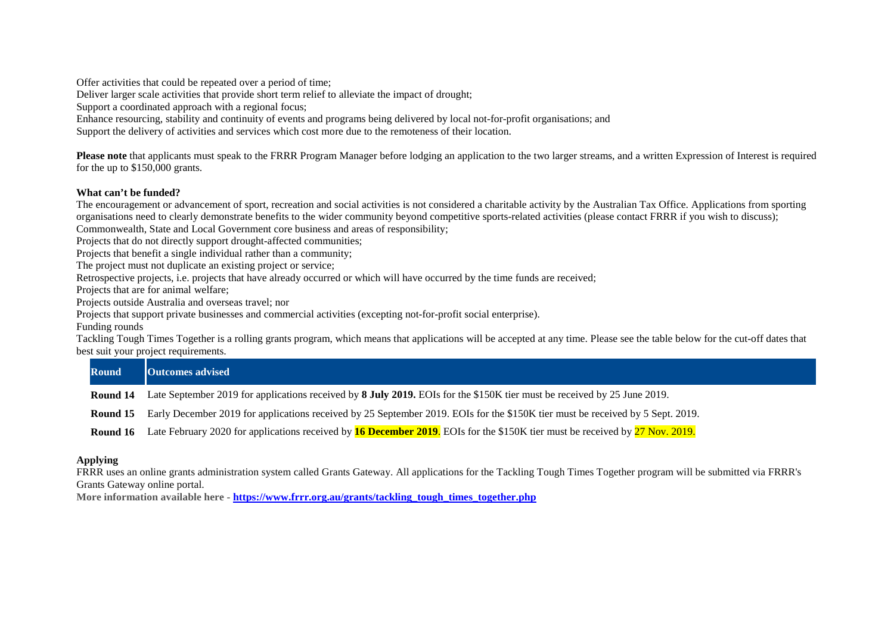Offer activities that could be repeated over a period of time;

Deliver larger scale activities that provide short term relief to alleviate the impact of drought;

Support a coordinated approach with a regional focus;

Enhance resourcing, stability and continuity of events and programs being delivered by local not-for-profit organisations; and

Support the delivery of activities and services which cost more due to the remoteness of their location.

**Please note** that applicants must speak to the FRRR Program Manager before lodging an application to the two larger streams, and a written Expression of Interest is required for the up to \$150,000 grants.

#### **What can't be funded?**

The encouragement or advancement of sport, recreation and social activities is not considered a charitable activity by the Australian Tax Office. Applications from sporting organisations need to clearly demonstrate benefits to the wider community beyond competitive sports-related activities (please contact FRRR if you wish to discuss); Commonwealth, State and Local Government core business and areas of responsibility;

Projects that do not directly support drought-affected communities;

Projects that benefit a single individual rather than a community;

The project must not duplicate an existing project or service;

Retrospective projects, i.e. projects that have already occurred or which will have occurred by the time funds are received;

Projects that are for animal welfare;

Projects outside Australia and overseas travel; nor

Projects that support private businesses and commercial activities (excepting not-for-profit social enterprise).

Funding rounds

Tackling Tough Times Together is a rolling grants program, which means that applications will be accepted at any time. Please see the table below for the cut-off dates that best suit your project requirements.

| <b>Round</b> | <b>Outcomes advised</b>                                                                                                        |
|--------------|--------------------------------------------------------------------------------------------------------------------------------|
| Round 14     | Late September 2019 for applications received by 8 July 2019. EOIs for the \$150K tier must be received by 25 June 2019.       |
| Round 15     | Early December 2019 for applications received by 25 September 2019. EOIs for the \$150K tier must be received by 5 Sept. 2019. |

**Round 16** Late February 2020 for applications received by **16 December 2019**. EOIs for the \$150K tier must be received by 27 Nov. 2019.

#### **Applying**

FRRR uses an online grants administration system called Grants Gateway. All applications for the Tackling Tough Times Together program will be submitted via FRRR's Grants Gateway online portal.

**More information available here - [https://www.frrr.org.au/grants/tackling\\_tough\\_times\\_together.php](https://www.frrr.org.au/grants/tackling_tough_times_together.php)**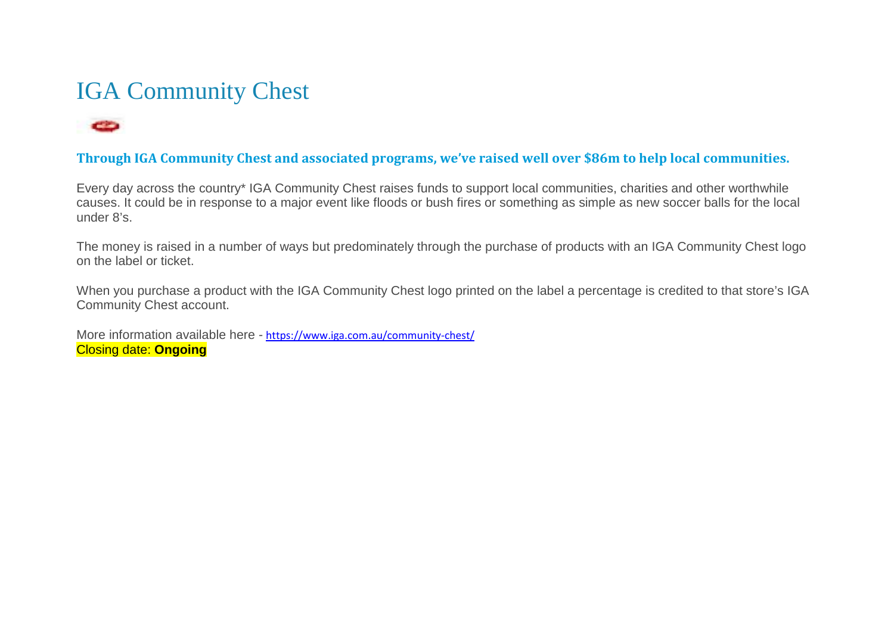# IGA Community Chest

### co

### **Through IGA Community Chest and associated programs, we've raised well over \$86m to help local communities.**

Every day across the country\* IGA Community Chest raises funds to support local communities, charities and other worthwhile causes. It could be in response to a major event like floods or bush fires or something as simple as new soccer balls for the local under 8's.

The money is raised in a number of ways but predominately through the purchase of products with an IGA Community Chest logo on the label or ticket.

When you purchase a product with the IGA Community Chest logo printed on the label a percentage is credited to that store's IGA Community Chest account.

More information available here - <https://www.iga.com.au/community-chest/> Closing date: **Ongoing**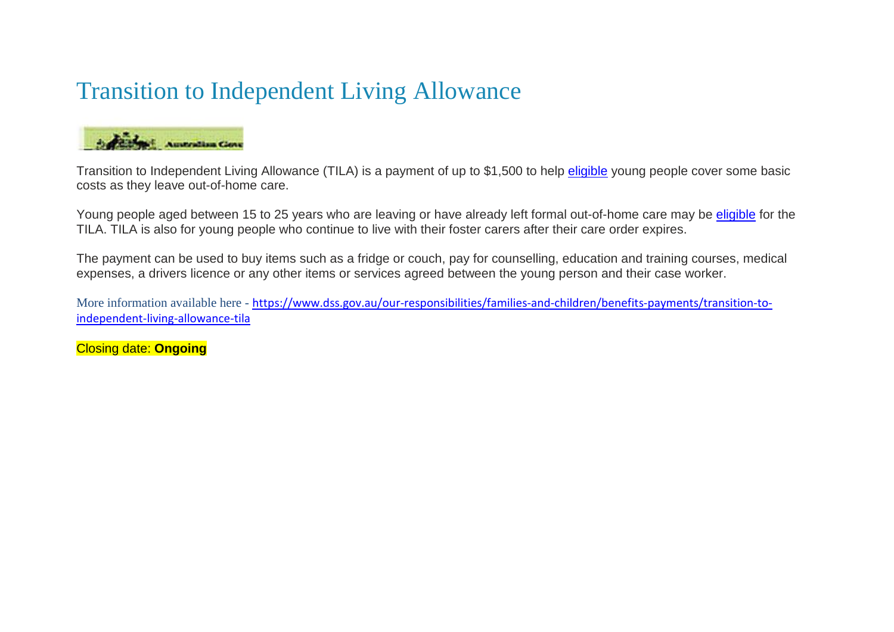# Transition to Independent Living Allowance



Transition to Independent Living Allowance (TILA) is a payment of up to \$1,500 to help [eligible](https://www.dss.gov.au/our-responsibilities/families-and-children/benefits-payments/transition-to-independent-living-allowance-tila/eligibility) young people cover some basic costs as they leave out-of-home care.

Young people aged between 15 to 25 years who are leaving or have already left formal out-of-home care may be [eligible](https://www.dss.gov.au/our-responsibilities/families-and-children/benefits-payments/transition-to-independent-living-allowance-tila/eligibility) for the TILA. TILA is also for young people who continue to live with their foster carers after their care order expires.

The payment can be used to buy items such as a fridge or couch, pay for counselling, education and training courses, medical expenses, a drivers licence or any other items or services agreed between the young person and their case worker.

More information available here - [https://www.dss.gov.au/our-responsibilities/families-and-children/benefits-payments/transition-to](https://www.dss.gov.au/our-responsibilities/families-and-children/benefits-payments/transition-to-independent-living-allowance-tila)[independent-living-allowance-tila](https://www.dss.gov.au/our-responsibilities/families-and-children/benefits-payments/transition-to-independent-living-allowance-tila)

Closing date: **Ongoing**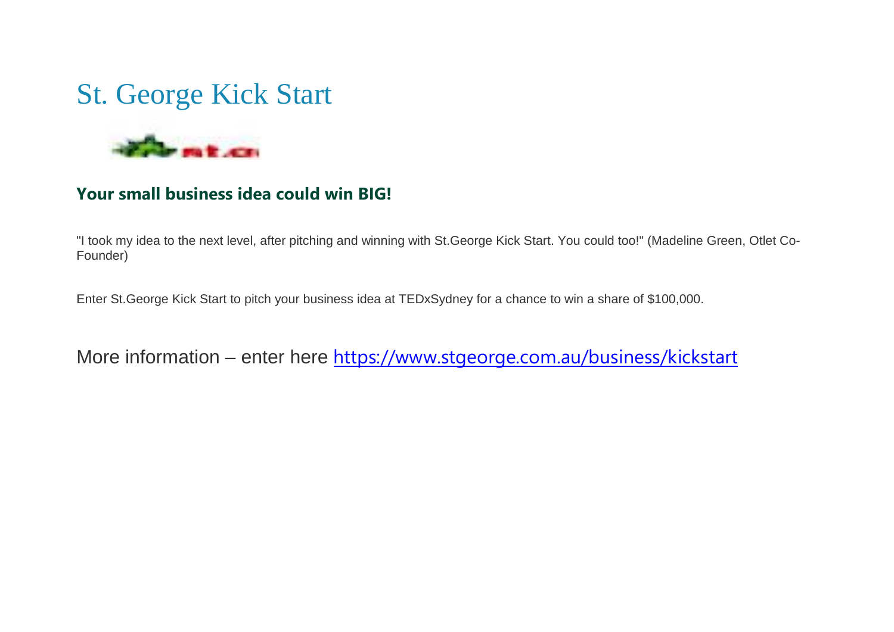# St. George Kick Start



### **Your small business idea could win BIG!**

"I took my idea to the next level, after pitching and winning with St.George Kick Start. You could too!" (Madeline Green, Otlet Co-Founder)

Enter St.George Kick Start to pitch your business idea at TEDxSydney for a chance to win a share of \$100,000.

More information – enter here <https://www.stgeorge.com.au/business/kickstart>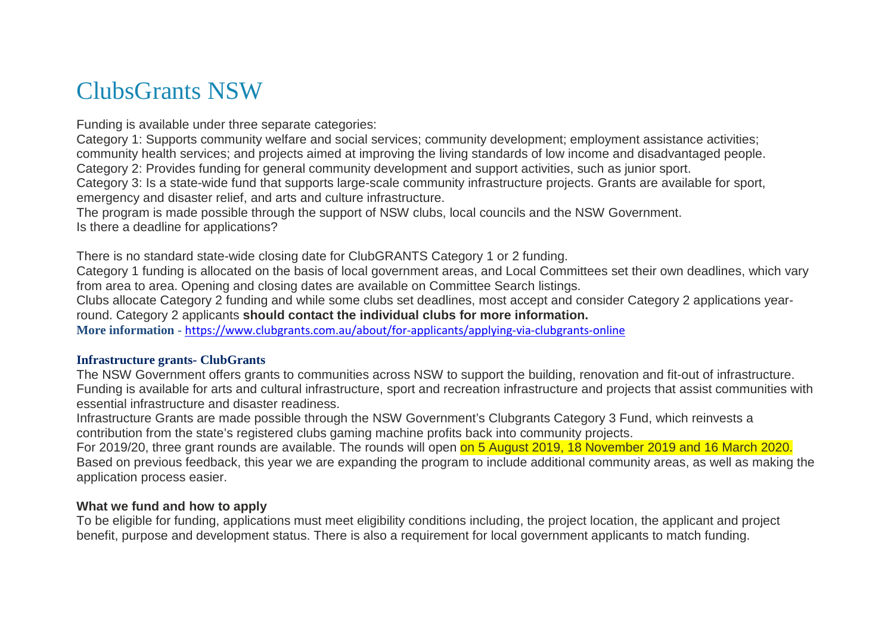### ClubsGrants NSW

Funding is available under three separate categories:

Category 1: Supports community welfare and social services; community development; employment assistance activities; community health services; and projects aimed at improving the living standards of low income and disadvantaged people. Category 2: Provides funding for general community development and support activities, such as junior sport.

Category 3: Is a state-wide fund that supports large-scale community infrastructure projects. Grants are available for sport, emergency and disaster relief, and arts and culture infrastructure.

The program is made possible through the support of NSW clubs, local councils and the NSW Government. Is there a deadline for applications?

There is no standard state-wide closing date for ClubGRANTS Category 1 or 2 funding.

Category 1 funding is allocated on the basis of local government areas, and Local Committees set their own deadlines, which vary from area to area. Opening and closing dates are available on Committee Search listings.

Clubs allocate Category 2 funding and while some clubs set deadlines, most accept and consider Category 2 applications yearround. Category 2 applicants **should contact the individual clubs for more information.**

**More information** - <https://www.clubgrants.com.au/about/for-applicants/applying-via-clubgrants-online>

### **Infrastructure grants- ClubGrants**

The NSW Government offers grants to communities across NSW to support the building, renovation and fit-out of infrastructure. Funding is available for arts and cultural infrastructure, sport and recreation infrastructure and projects that assist communities with essential infrastructure and disaster readiness.

Infrastructure Grants are made possible through the NSW Government's Clubgrants Category 3 Fund, which reinvests a contribution from the state's registered clubs gaming machine profits back into community projects.

For 2019/20, three grant rounds are available. The rounds will open on 5 August 2019, 18 November 2019 and 16 March 2020. Based on previous feedback, this year we are expanding the program to include additional community areas, as well as making the application process easier.

### **What we fund and how to apply**

To be eligible for funding, applications must meet eligibility conditions including, the project location, the applicant and project benefit, purpose and development status. There is also a requirement for local government applicants to match funding.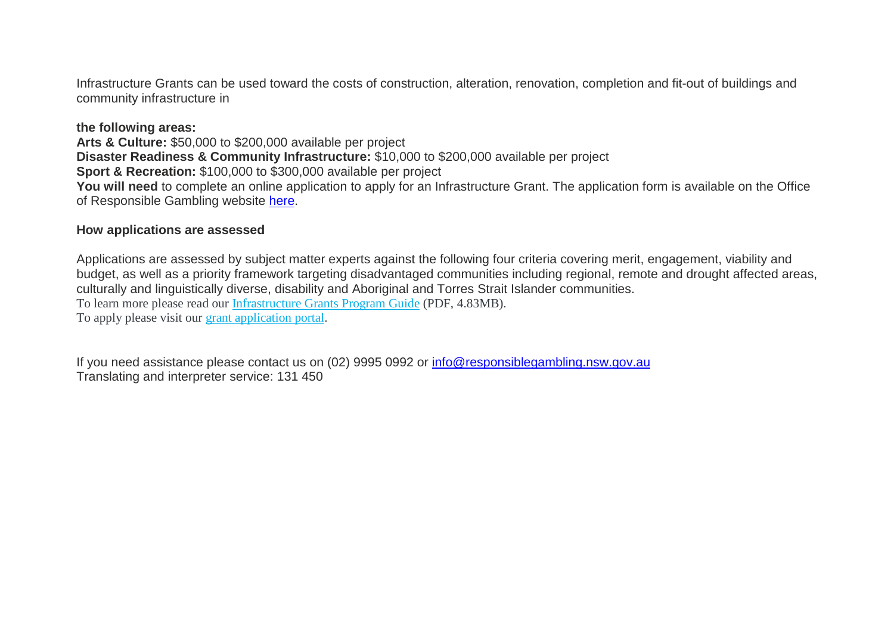Infrastructure Grants can be used toward the costs of construction, alteration, renovation, completion and fit-out of buildings and community infrastructure in

### **the following areas:**

**Arts & Culture:** \$50,000 to \$200,000 available per project **Disaster Readiness & Community Infrastructure:** \$10,000 to \$200,000 available per project **Sport & Recreation:** \$100,000 to \$300,000 available per project You will need to complete an online application to apply for an Infrastructure Grant. The application form is available on the Office of Responsible Gambling website [here.](https://fundinglgnsw.fluidreview.com/)

### **How applications are assessed**

Applications are assessed by subject matter experts against the following four criteria covering merit, engagement, viability and budget, as well as a priority framework targeting disadvantaged communities including regional, remote and drought affected areas, culturally and linguistically diverse, disability and Aboriginal and Torres Strait Islander communities. To learn more please read our [Infrastructure Grants Program Guide](https://www.responsiblegambling.nsw.gov.au/__data/assets/pdf_file/0018/236700/201920-clubgrants-category3-infrastructure-grants-program-guide.pdf) (PDF, 4.83MB). To apply please visit our [grant application portal.](https://fundinglgnsw.fluidreview.com/)

If you need assistance please contact us on (02) 9995 0992 or [info@responsiblegambling.nsw.gov.au](mailto:info@responsiblegambling.nsw.gov.au) Translating and interpreter service: 131 450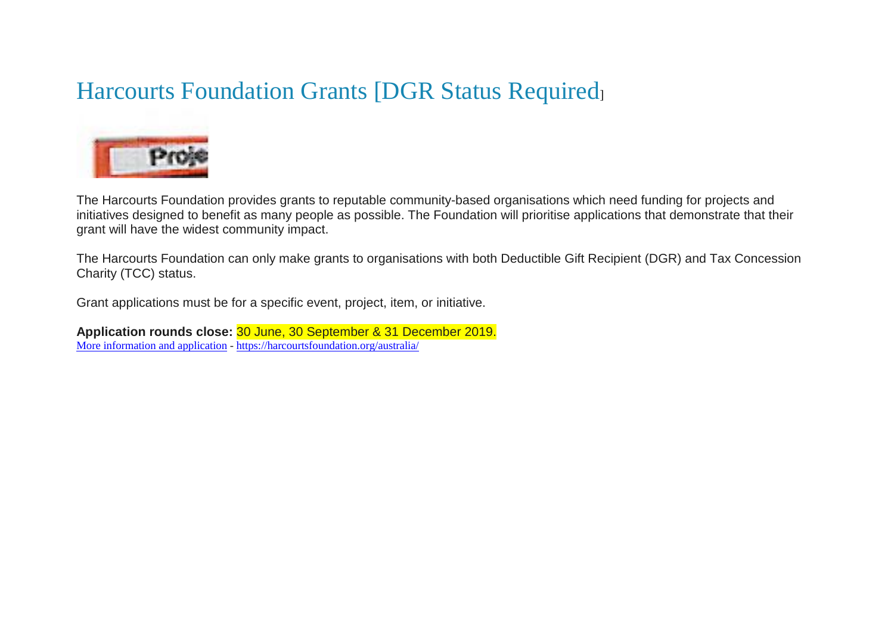# Harcourts Foundation Grants [DGR Status Required]



The Harcourts Foundation provides grants to reputable community-based organisations which need funding for projects and initiatives designed to benefit as many people as possible. The Foundation will prioritise applications that demonstrate that their grant will have the widest community impact.

The Harcourts Foundation can only make grants to organisations with both Deductible Gift Recipient (DGR) and Tax Concession Charity (TCC) status.

Grant applications must be for a specific event, project, item, or initiative.

**Application rounds close:** 30 June, 30 September & 31 December 2019. [More information and application](https://harcourtsfoundation.org/australia/) - <https://harcourtsfoundation.org/australia/>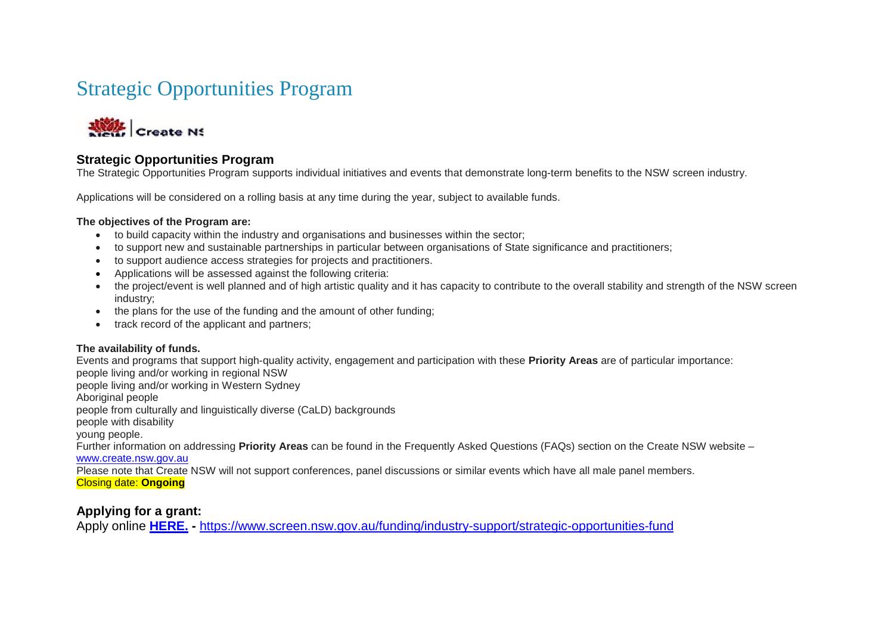### Strategic Opportunities Program



### **Strategic Opportunities Program**

The Strategic Opportunities Program supports individual initiatives and events that demonstrate long-term benefits to the NSW screen industry.

Applications will be considered on a rolling basis at any time during the year, subject to available funds.

#### **The objectives of the Program are:**

- to build capacity within the industry and organisations and businesses within the sector;
- to support new and sustainable partnerships in particular between organisations of State significance and practitioners;
- to support audience access strategies for projects and practitioners.
- Applications will be assessed against the following criteria:
- the project/event is well planned and of high artistic quality and it has capacity to contribute to the overall stability and strength of the NSW screen industry;
- the plans for the use of the funding and the amount of other funding;
- track record of the applicant and partners:

### **The availability of funds.**

Events and programs that support high-quality activity, engagement and participation with these **Priority Areas** are of particular importance: people living and/or working in regional NSW people living and/or working in Western Sydney Aboriginal people people from culturally and linguistically diverse (CaLD) backgrounds people with disability young people. Further information on addressing **Priority Areas** can be found in the Frequently Asked Questions (FAQs) section on the Create NSW website – [www.create.nsw.gov.au](http://www.create.nsw.gov.au/) Please note that Create NSW will not support conferences, panel discussions or similar events which have all male panel members.

Closing date: **Ongoing**

### **Applying for a grant:**

Apply online **[HERE.](https://screennsw.smartygrants.com.au/StrategicOpportunitiesProgram) -** <https://www.screen.nsw.gov.au/funding/industry-support/strategic-opportunities-fund>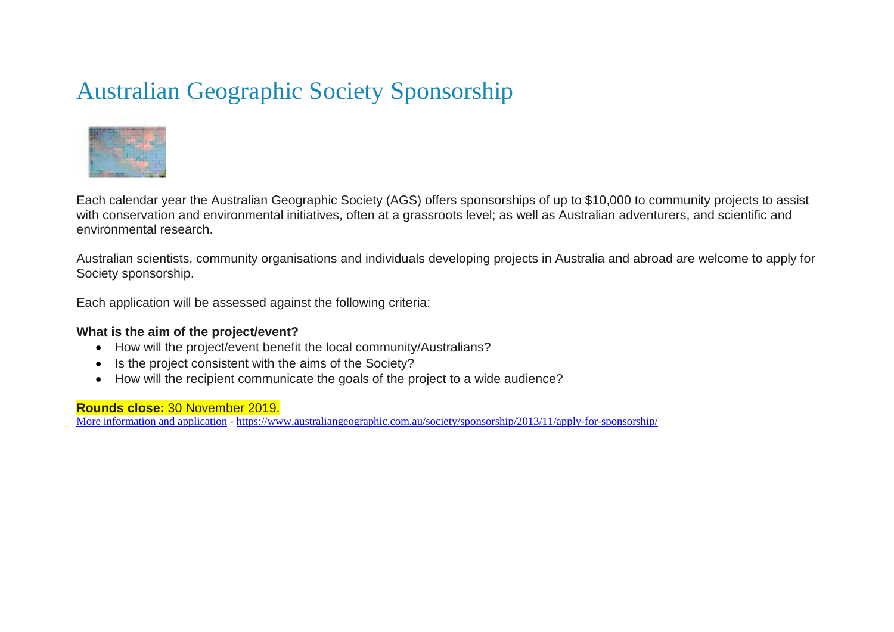# Australian Geographic Society Sponsorship



Each calendar year the Australian Geographic Society (AGS) offers sponsorships of up to \$10,000 to community projects to assist with conservation and environmental initiatives, often at a grassroots level; as well as Australian adventurers, and scientific and environmental research.

Australian scientists, community organisations and individuals developing projects in Australia and abroad are welcome to apply for Society sponsorship.

Each application will be assessed against the following criteria:

### **What is the aim of the project/event?**

- How will the project/event benefit the local community/Australians?
- Is the project consistent with the aims of the Society?
- How will the recipient communicate the goals of the project to a wide audience?

### **Rounds close:** 30 November 2019.

[More information and application](https://www.australiangeographic.com.au/society/sponsorship/2013/11/apply-for-sponsorship/) - <https://www.australiangeographic.com.au/society/sponsorship/2013/11/apply-for-sponsorship/>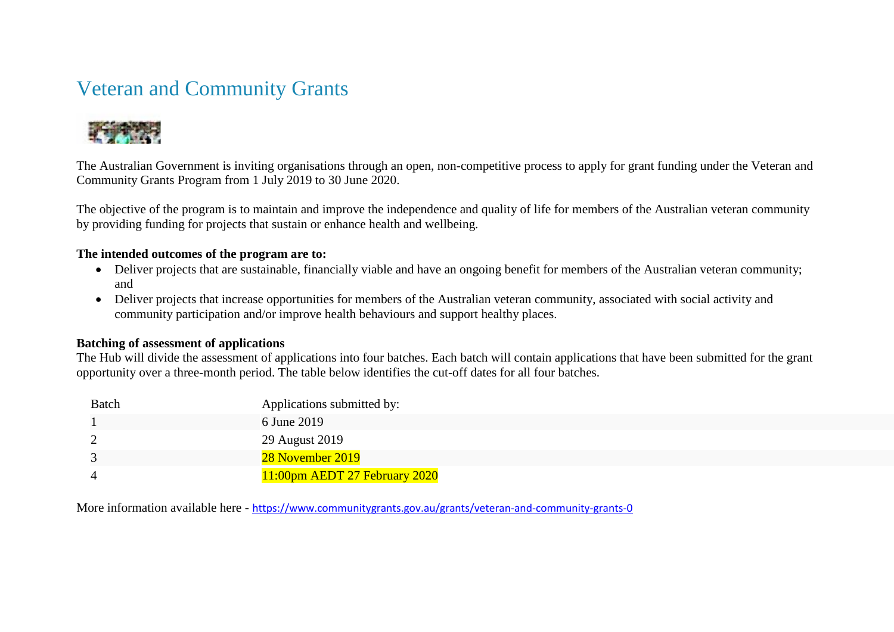### Veteran and Community Grants



The Australian Government is inviting organisations through an open, non-competitive process to apply for grant funding under the Veteran and Community Grants Program from 1 July 2019 to 30 June 2020.

The objective of the program is to maintain and improve the independence and quality of life for members of the Australian veteran community by providing funding for projects that sustain or enhance health and wellbeing.

### **The intended outcomes of the program are to:**

- Deliver projects that are sustainable, financially viable and have an ongoing benefit for members of the Australian veteran community; and
- Deliver projects that increase opportunities for members of the Australian veteran community, associated with social activity and community participation and/or improve health behaviours and support healthy places.

### **Batching of assessment of applications**

The Hub will divide the assessment of applications into four batches. Each batch will contain applications that have been submitted for the grant opportunity over a three-month period. The table below identifies the cut-off dates for all four batches.

| Batch | Applications submitted by:    |
|-------|-------------------------------|
|       | 6 June 2019                   |
|       | 29 August 2019                |
|       | 28 November 2019              |
|       | 11:00pm AEDT 27 February 2020 |

More information available here - <https://www.communitygrants.gov.au/grants/veteran-and-community-grants-0>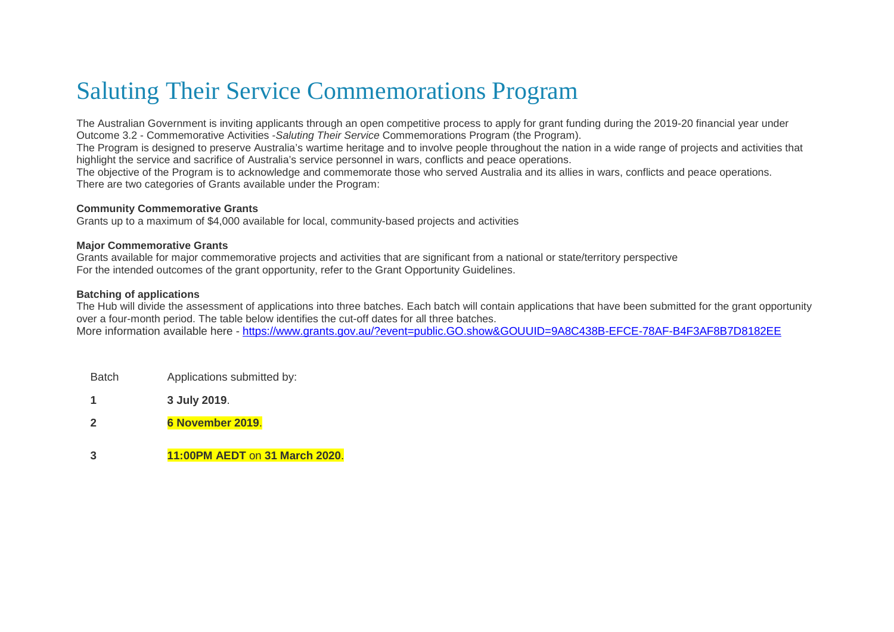### Saluting Their Service Commemorations Program

The Australian Government is inviting applicants through an open competitive process to apply for grant funding during the 2019-20 financial year under Outcome 3.2 - Commemorative Activities -*Saluting Their Service* Commemorations Program (the Program).

The Program is designed to preserve Australia's wartime heritage and to involve people throughout the nation in a wide range of projects and activities that highlight the service and sacrifice of Australia's service personnel in wars, conflicts and peace operations.

The objective of the Program is to acknowledge and commemorate those who served Australia and its allies in wars, conflicts and peace operations. There are two categories of Grants available under the Program:

#### **Community Commemorative Grants**

Grants up to a maximum of \$4,000 available for local, community-based projects and activities

#### **Major Commemorative Grants**

Grants available for major commemorative projects and activities that are significant from a national or state/territory perspective For the intended outcomes of the grant opportunity, refer to the Grant Opportunity Guidelines.

#### **Batching of applications**

The Hub will divide the assessment of applications into three batches. Each batch will contain applications that have been submitted for the grant opportunity over a four-month period. The table below identifies the cut-off dates for all three batches. More information available here - <https://www.grants.gov.au/?event=public.GO.show&GOUUID=9A8C438B-EFCE-78AF-B4F3AF8B7D8182EE>

- Batch Applications submitted by:
- **1 3 July 2019**.
- **2 6 November 2019**.
- **3 11:00PM AEDT** on **31 March 2020**.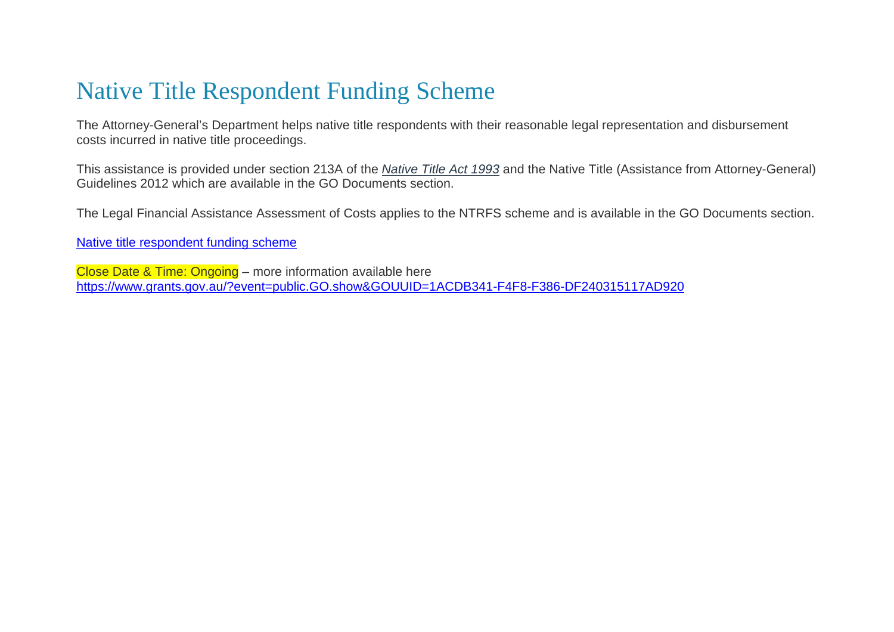# Native Title Respondent Funding Scheme

The Attorney-General's Department helps native title respondents with their reasonable legal representation and disbursement costs incurred in native title proceedings.

This assistance is provided under section 213A of the *[Native Title Act 1993](http://www.comlaw.gov.au/Series/C2004A04665)* and the Native Title (Assistance from Attorney-General) Guidelines 2012 which are available in the GO Documents section.

The Legal Financial Assistance Assessment of Costs applies to the NTRFS scheme and is available in the GO Documents section.

[Native title respondent funding scheme](https://www.ag.gov.au/LegalSystem/Legalaidprogrammes/Commonwealthlegalfinancialassistance/Pages/Nativetitlerespondentfunding.aspx)

Close Date & Time: Ongoing – more information available here <https://www.grants.gov.au/?event=public.GO.show&GOUUID=1ACDB341-F4F8-F386-DF240315117AD920>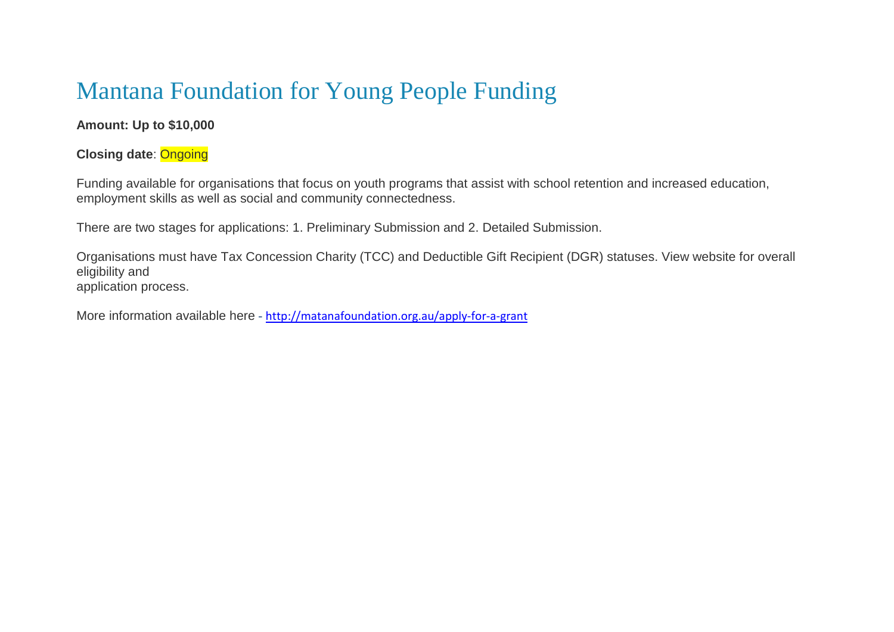# Mantana Foundation for Young People Funding

### **Amount: Up to \$10,000**

### **Closing date**: Ongoing

Funding available for organisations that focus on youth programs that assist with school retention and increased education, employment skills as well as social and community connectedness.

There are two stages for applications: 1. Preliminary Submission and 2. Detailed Submission.

Organisations must have Tax Concession Charity (TCC) and Deductible Gift Recipient (DGR) statuses. View website for overall eligibility and application process.

More information available here - <http://matanafoundation.org.au/apply-for-a-grant>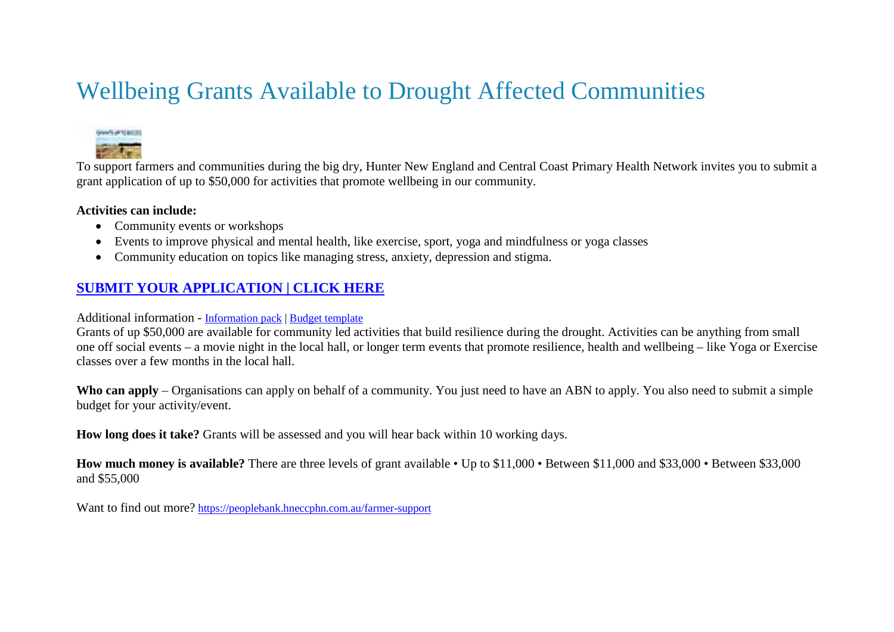# Wellbeing Grants Available to Drought Affected Communities



To support farmers and communities during the big dry, Hunter New England and Central Coast Primary Health Network invites you to submit a grant application of up to \$50,000 for activities that promote wellbeing in our community.

### **Activities can include:**

- Community events or workshops
- Events to improve physical and mental health, like exercise, sport, yoga and mindfulness or yoga classes
- Community education on topics like managing stress, anxiety, depression and stigma.

### **[SUBMIT YOUR APPLICATION | CLICK HERE](https://peoplebank.hneccphn.com.au/farmer-support/survey_tools/community-grants)**

### Additional information - [Information pack](https://peoplebank.hneccphn.com.au/38309/documents/97059) | [Budget template](https://peoplebank.hneccphn.com.au/38309/documents/97060)

Grants of up \$50,000 are available for community led activities that build resilience during the drought. Activities can be anything from small one off social events – a movie night in the local hall, or longer term events that promote resilience, health and wellbeing – like Yoga or Exercise classes over a few months in the local hall.

**Who can apply** – Organisations can apply on behalf of a community. You just need to have an ABN to apply. You also need to submit a simple budget for your activity/event.

**How long does it take?** Grants will be assessed and you will hear back within 10 working days.

**How much money is available?** There are three levels of grant available • Up to \$11,000 • Between \$11,000 and \$33,000 • Between \$33,000 and \$55,000

Want to find out more? <https://peoplebank.hneccphn.com.au/farmer-support>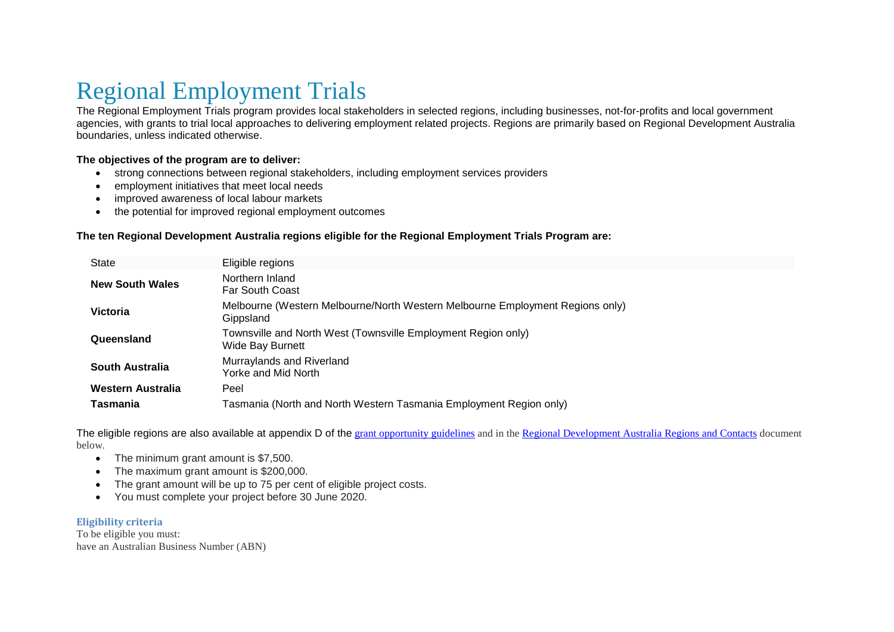# Regional Employment Trials

The Regional Employment Trials program provides local stakeholders in selected regions, including businesses, not-for-profits and local government agencies, with grants to trial local approaches to delivering employment related projects. Regions are primarily based on Regional Development Australia boundaries, unless indicated otherwise.

#### **The objectives of the program are to deliver:**

- strong connections between regional stakeholders, including employment services providers
- employment initiatives that meet local needs
- improved awareness of local labour markets
- the potential for improved regional employment outcomes

#### **The ten Regional Development Australia regions eligible for the Regional Employment Trials Program are:**

| <b>State</b>             | Eligible regions                                                                           |
|--------------------------|--------------------------------------------------------------------------------------------|
| <b>New South Wales</b>   | Northern Inland<br><b>Far South Coast</b>                                                  |
| <b>Victoria</b>          | Melbourne (Western Melbourne/North Western Melbourne Employment Regions only)<br>Gippsland |
| Queensland               | Townsville and North West (Townsville Employment Region only)<br><b>Wide Bay Burnett</b>   |
| South Australia          | Murraylands and Riverland<br>Yorke and Mid North                                           |
| <b>Western Australia</b> | Peel                                                                                       |
| Tasmania                 | Tasmania (North and North Western Tasmania Employment Region only)                         |

The eligible regions are also available at appendix D of the [grant opportunity guidelines](https://www.business.gov.au/assistance/regional-employment-trials) and in the [Regional Development Australia Regions and Contacts](https://www.business.gov.au/assistance/regional-employment-trials) document below.

- The minimum grant amount is \$7,500.
- The maximum grant amount is \$200,000.
- The grant amount will be up to 75 per cent of eligible project costs.
- You must complete your project before 30 June 2020.

#### **Eligibility criteria**

To be eligible you must: have an Australian Business Number (ABN)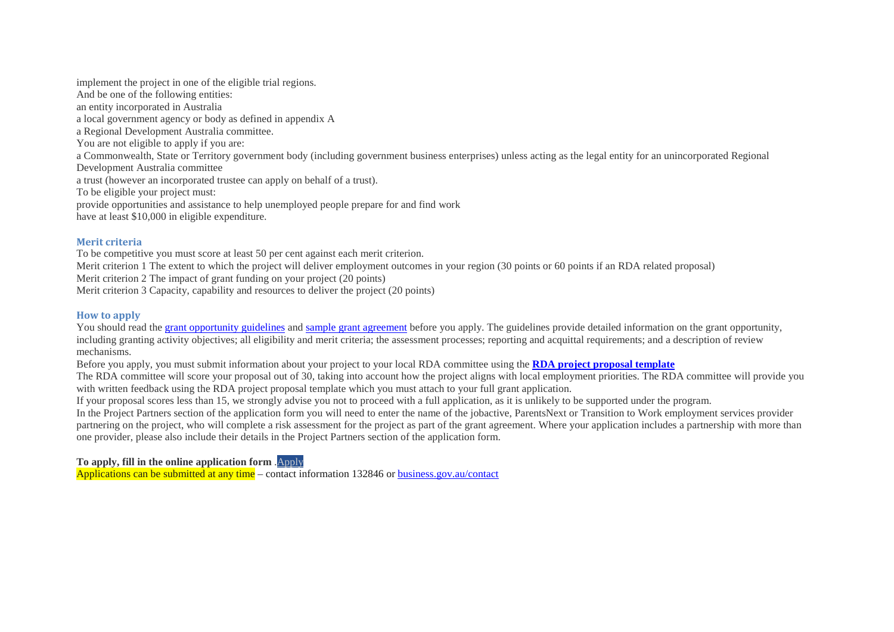implement the project in one of the eligible trial regions. And be one of the following entities: an entity incorporated in Australia a local government agency or body as defined in appendix A a Regional Development Australia committee. You are not eligible to apply if you are: a Commonwealth, State or Territory government body (including government business enterprises) unless acting as the legal entity for an unincorporated Regional Development Australia committee a trust (however an incorporated trustee can apply on behalf of a trust). To be eligible your project must: provide opportunities and assistance to help unemployed people prepare for and find work have at least \$10,000 in eligible expenditure.

#### **Merit criteria**

To be competitive you must score at least 50 per cent against each merit criterion. Merit criterion 1 The extent to which the project will deliver employment outcomes in your region (30 points or 60 points if an RDA related proposal) Merit criterion 2 The impact of grant funding on your project (20 points) Merit criterion 3 Capacity, capability and resources to deliver the project (20 points)

#### **How to apply**

You should read the [grant opportunity guidelines](https://www.business.gov.au/assistance/regional-employment-trials) and [sample grant agreement](https://www.business.gov.au/assistance/regional-employment-trials) before you apply. The guidelines provide detailed information on the grant opportunity, including granting activity objectives; all eligibility and merit criteria; the assessment processes; reporting and acquittal requirements; and a description of review mechanisms.

Before you apply, you must submit information about your project to your local RDA committee using the **[RDA project proposal template](https://www.business.gov.au/assistance/regional-employment-trials)**

The RDA committee will score your proposal out of 30, taking into account how the project aligns with local employment priorities. The RDA committee will provide you with written feedback using the RDA project proposal template which you must attach to your full grant application.

If your proposal scores less than 15, we strongly advise you not to proceed with a full application, as it is unlikely to be supported under the program.

In the Project Partners section of the application form you will need to enter the name of the jobactive, ParentsNext or Transition to Work employment services provider partnering on the project, who will complete a risk assessment for the project as part of the grant agreement. Where your application includes a partnership with more than one provider, please also include their details in the Project Partners section of the application form.

**To apply, fill in the online application form** [.Apply](https://portal.business.gov.au/?rd=newapplication&programmeid=9DFA1A56-E65F-4561-891A-9AAE8A43D5AC)

Applications can be submitted at any time – contact information 132846 or business.gov.au/contact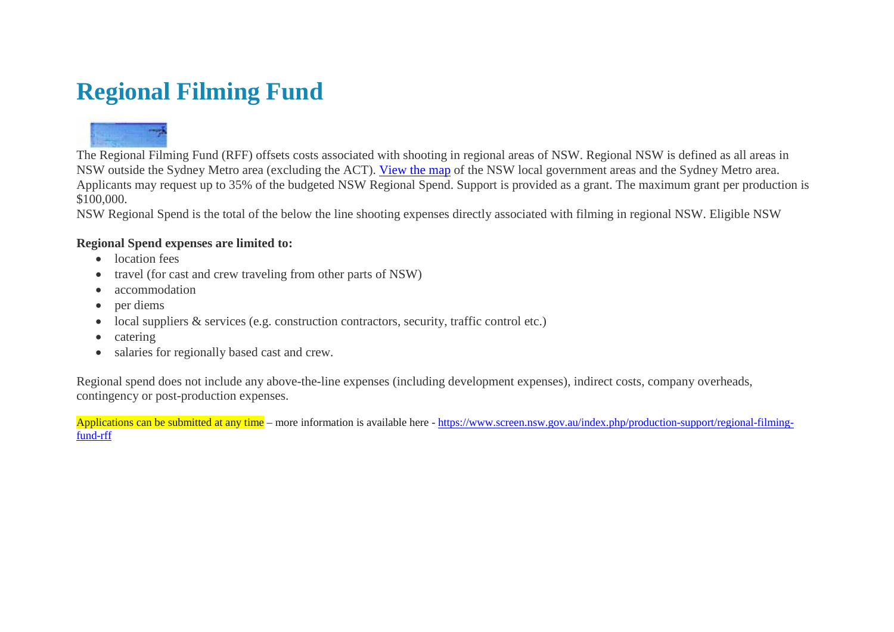# **Regional Filming Fund**



The Regional Filming Fund (RFF) offsets costs associated with shooting in regional areas of NSW. Regional NSW is defined as all areas in NSW outside the Sydney Metro area (excluding the ACT). [View the map](http://www.screen.nsw.gov.au/page/maps/regional-nsw-map) of the NSW local government areas and the Sydney Metro area. Applicants may request up to 35% of the budgeted NSW Regional Spend. Support is provided as a grant. The maximum grant per production is \$100,000.

NSW Regional Spend is the total of the below the line shooting expenses directly associated with filming in regional NSW. Eligible NSW

### **Regional Spend expenses are limited to:**

- location fees
- travel (for cast and crew traveling from other parts of NSW)
- accommodation
- per diems
- local suppliers & services (e.g. construction contractors, security, traffic control etc.)
- catering
- salaries for regionally based cast and crew.

Regional spend does not include any above-the-line expenses (including development expenses), indirect costs, company overheads, contingency or post-production expenses.

Applications can be submitted at any time – more information is available here - [https://www.screen.nsw.gov.au/index.php/production-support/regional-filming](https://www.screen.nsw.gov.au/index.php/production-support/regional-filming-fund-rff)[fund-rff](https://www.screen.nsw.gov.au/index.php/production-support/regional-filming-fund-rff)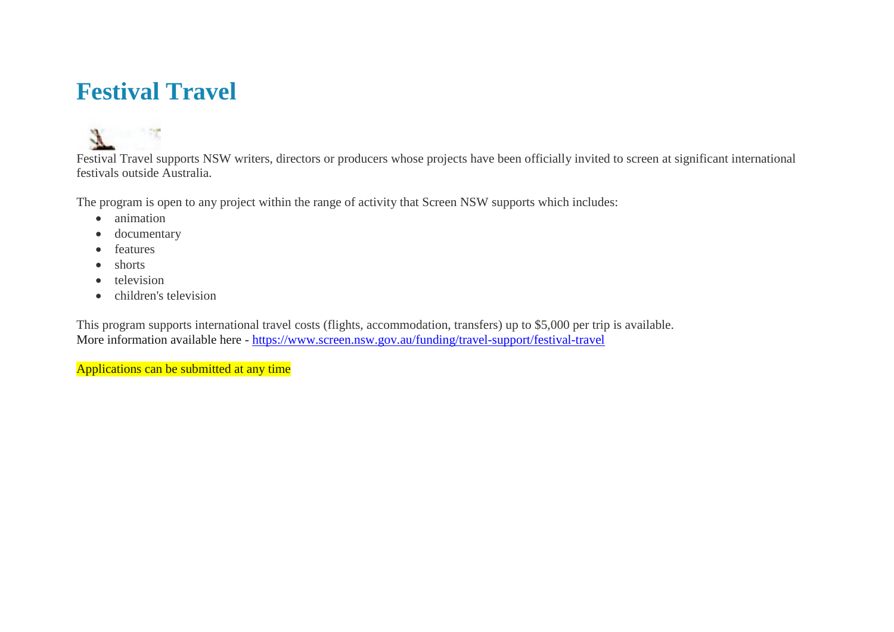### **Festival Travel**



Festival Travel supports NSW writers, directors or producers whose projects have been officially invited to screen at significant international festivals outside Australia.

The program is open to any project within the range of activity that Screen NSW supports which includes:

- animation
- documentary
- features
- shorts
- television
- children's television

This program supports international travel costs (flights, accommodation, transfers) up to \$5,000 per trip is available. More information available here - <https://www.screen.nsw.gov.au/funding/travel-support/festival-travel>

Applications can be submitted at any time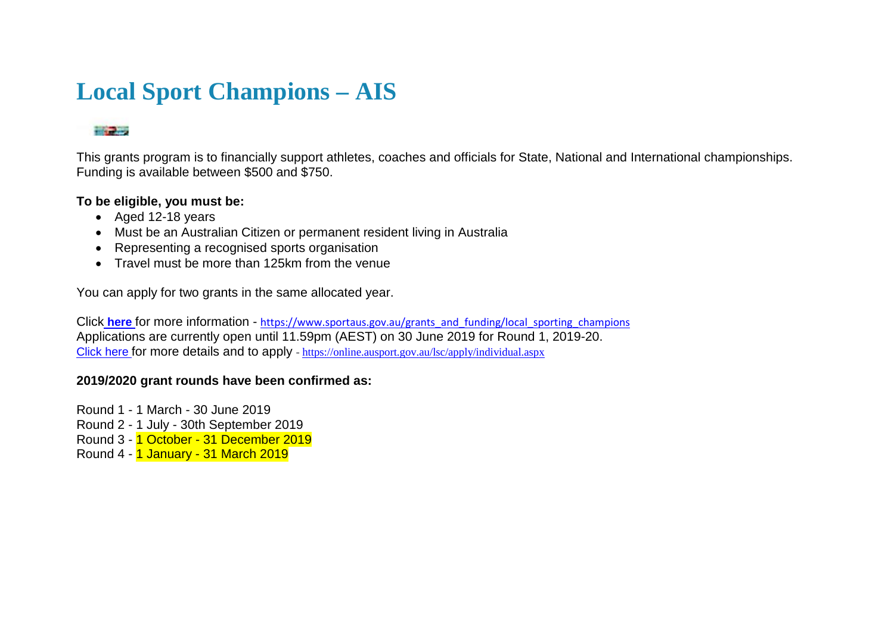### **Local Sport Champions – AIS**

### **The Contract of the Contract of the Contract of the Contract of the Contract of the Contract of the Contract o**

This grants program is to financially support athletes, coaches and officials for State, National and International championships. Funding is available between \$500 and \$750.

### **To be eligible, you must be:**

- Aged 12-18 years
- Must be an Australian Citizen or permanent resident living in Australia
- Representing a recognised sports organisation
- Travel must be more than 125km from the venue

You can apply for two grants in the same allocated year.

Click [here](https://www.ausport.gov.au/ais/grants_and_funding/local_sporting_champions) for more information - [https://www.sportaus.gov.au/grants\\_and\\_funding/local\\_sporting\\_champions](https://www.sportaus.gov.au/grants_and_funding/local_sporting_champions) Applications are currently open until 11.59pm (AEST) on 30 June 2019 for Round 1, 2019-20. [Click here f](https://www.sportaus.gov.au/grants_and_funding/local_sporting_champions)or more details and to apply - <https://online.ausport.gov.au/lsc/apply/individual.aspx>

### **2019/2020 grant rounds have been confirmed as:**

Round 1 - 1 March - 30 June 2019 Round 2 - 1 July - 30th September 2019 Round 3 - 1 October - 31 December 2019 Round 4 - 1 January - 31 March 2019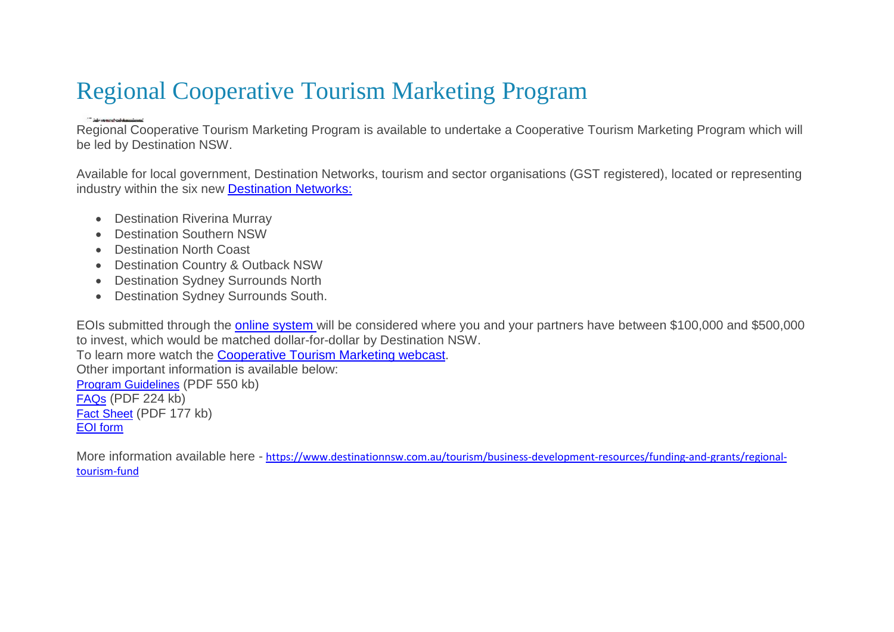# Regional Cooperative Tourism Marketing Program

Regional Cooperative Tourism Marketing Program is available to undertake a Cooperative Tourism Marketing Program which will be led by Destination NSW.

Available for local government, Destination Networks, tourism and sector organisations (GST registered), located or representing industry within the six new [Destination Networks:](http://www.destinationnsw.com.au/our-industry/destination-networks)

- Destination Riverina Murray
- Destination Southern NSW
- Destination North Coast
- Destination Country & Outback NSW
- Destination Sydney Surrounds North
- Destination Sydney Surrounds South.

EOIs submitted through the [online system w](http://rtf.dnswextranet.com.au/)ill be considered where you and your partners have between \$100,000 and \$500,000 to invest, which would be matched dollar-for-dollar by Destination NSW. To learn more watch the [Cooperative Tourism Marketing webcast.](http://www.webcasts.com.au/dnsw170817) Other important information is available below: [Program Guidelines](https://www.destinationnsw.com.au/wp-content/uploads/2018/08/guidelines-coop-marketing-2018-19.pdf?x15361) (PDF 550 kb) [FAQs](https://www.destinationnsw.com.au/wp-content/uploads/2018/08/faq-coop-marketing-2018-19.pdf?x15361) (PDF 224 kb) [Fact Sheet](https://www.destinationnsw.com.au/wp-content/uploads/2018/08/fact-sheet-coop-marketing-2018-19.pdf?x15361) (PDF 177 kb)

[EOI form](http://rtf.dnswextranet.com.au/)

More information available here - [https://www.destinationnsw.com.au/tourism/business-development-resources/funding-and-grants/regional](https://www.destinationnsw.com.au/tourism/business-development-resources/funding-and-grants/regional-tourism-fund)[tourism-fund](https://www.destinationnsw.com.au/tourism/business-development-resources/funding-and-grants/regional-tourism-fund)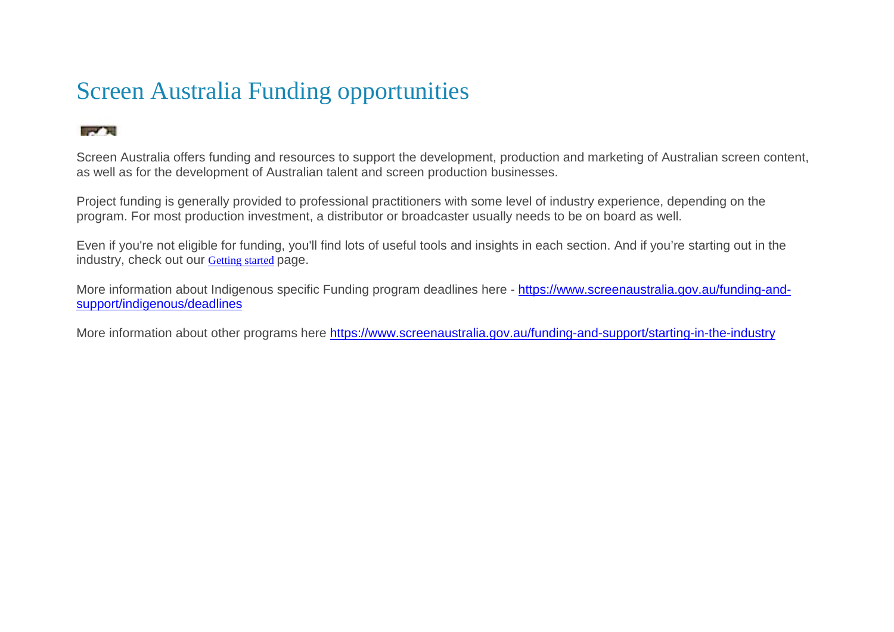# Screen Australia Funding opportunities

### **Contract**

Screen Australia offers funding and resources to support the development, production and marketing of Australian screen content, as well as for the development of Australian talent and screen production businesses.

Project funding is generally provided to professional practitioners with some level of industry experience, depending on the program. For most production investment, a distributor or broadcaster usually needs to be on board as well.

Even if you're not eligible for funding, you'll find lots of useful tools and insights in each section. And if you're starting out in the industry, check out our [Getting started](https://www.screenaustralia.gov.au/funding-and-support/starting-in-the-industry) page.

More information about Indigenous specific Funding program deadlines here - [https://www.screenaustralia.gov.au/funding-and](https://www.screenaustralia.gov.au/funding-and-support/indigenous/deadlines)[support/indigenous/deadlines](https://www.screenaustralia.gov.au/funding-and-support/indigenous/deadlines)

More information about other programs here<https://www.screenaustralia.gov.au/funding-and-support/starting-in-the-industry>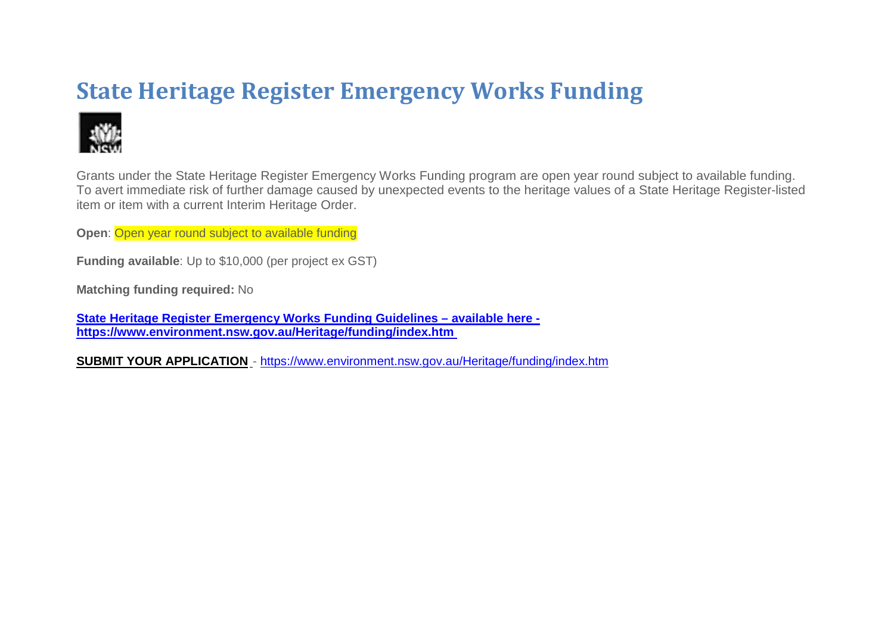# **State Heritage Register Emergency Works Funding**



Grants under the State Heritage Register Emergency Works Funding program are open year round subject to available funding. To avert immediate risk of further damage caused by unexpected events to the heritage values of a State Heritage Register-listed item or item with a current Interim Heritage Order.

**Open**: Open year round subject to available funding

**Funding available**: Up to \$10,000 (per project ex GST)

**Matching funding required:** No

**[State Heritage Register Emergency Works Funding Guidelines –](https://www.environment.nsw.gov.au/resources/heritagebranch/heritage/funding/emergency-works-guidelines-180333.pdf) available here [https://www.environment.nsw.gov.au/Heritage/funding/index.htm](https://www.environment.nsw.gov.au/resources/heritagebranch/heritage/funding/emergency-works-guidelines-180333.pdf)** 

**[SUBMIT YOUR APPLICATION](https://environmentheritage.smartygrants.com.au/Emergency2018-19)** - <https://www.environment.nsw.gov.au/Heritage/funding/index.htm>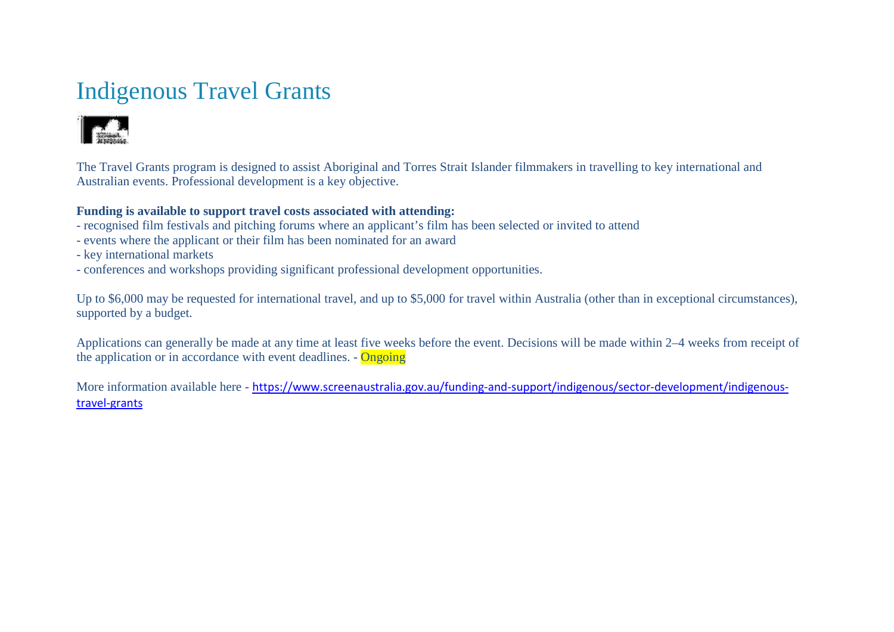# Indigenous Travel Grants



The Travel Grants program is designed to assist Aboriginal and Torres Strait Islander filmmakers in travelling to key international and Australian events. Professional development is a key objective.

### **Funding is available to support travel costs associated with attending:**

- recognised film festivals and pitching forums where an applicant's film has been selected or invited to attend
- events where the applicant or their film has been nominated for an award
- key international markets
- conferences and workshops providing significant professional development opportunities.

Up to \$6,000 may be requested for international travel, and up to \$5,000 for travel within Australia (other than in exceptional circumstances), supported by a budget.

Applications can generally be made at any time at least five weeks before the event. Decisions will be made within 2–4 weeks from receipt of the application or in accordance with event deadlines. - Ongoing

More information available here - [https://www.screenaustralia.gov.au/funding-and-support/indigenous/sector-development/indigenous](https://www.screenaustralia.gov.au/funding-and-support/indigenous/sector-development/indigenous-travel-grants)[travel-grants](https://www.screenaustralia.gov.au/funding-and-support/indigenous/sector-development/indigenous-travel-grants)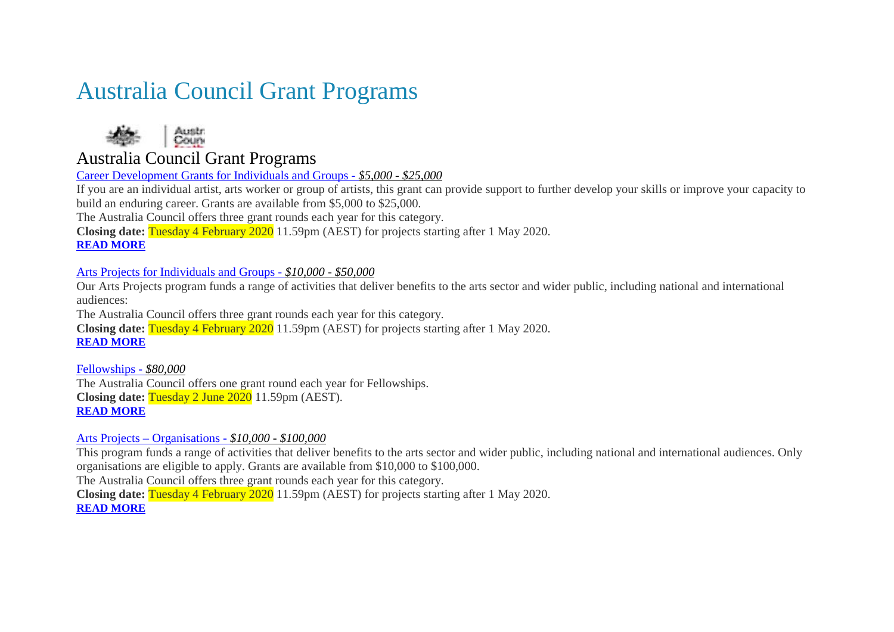### Australia Council Grant Programs



### Australia Council Grant Programs

Career Development Grants for Individuals and Groups - *\$5,000 - \$25,000*

If you are an individual artist, arts worker or group of artists, this grant can provide support to further develop your skills or improve your capacity to build an enduring career. Grants are available from \$5,000 to \$25,000.

The Australia Council offers three grant rounds each year for this category.

**Closing date:** Tuesday 4 February 2020 11.59pm (AEST) for projects starting after 1 May 2020.

### **[READ MORE](https://www.australiacouncil.gov.au/funding/funding-index/career-development-grants-for-individuals-and-groups/)**

### Arts Projects for Individuals and Groups - *\$10,000 - \$50,000*

Our Arts Projects program funds a range of activities that deliver benefits to the arts sector and wider public, including national and international audiences:

The Australia Council offers three grant rounds each year for this category.

**Closing date:** Tuesday 4 February 2020 11.59pm (AEST) for projects starting after 1 May 2020. **[READ MORE](https://www.australiacouncil.gov.au/funding/funding-index/arts-projects-for-individuals-and-groups/)**

Fellowships - *\$80,000* The Australia Council offers one grant round each year for Fellowships. **Closing date:** Tuesday 2 June 2020 11.59pm (AEST). **[READ MORE](https://www.australiacouncil.gov.au/funding/funding-index/fellowships/)**

### Arts Projects – Organisations - *\$10,000 - \$100,000*

This program funds a range of activities that deliver benefits to the arts sector and wider public, including national and international audiences. Only organisations are eligible to apply. Grants are available from \$10,000 to \$100,000.

The Australia Council offers three grant rounds each year for this category.

**Closing date:** Tuesday 4 February 2020 11.59pm (AEST) for projects starting after 1 May 2020.

**[READ MORE](https://www.australiacouncil.gov.au/funding/funding-index/arts-projects-organisations/)**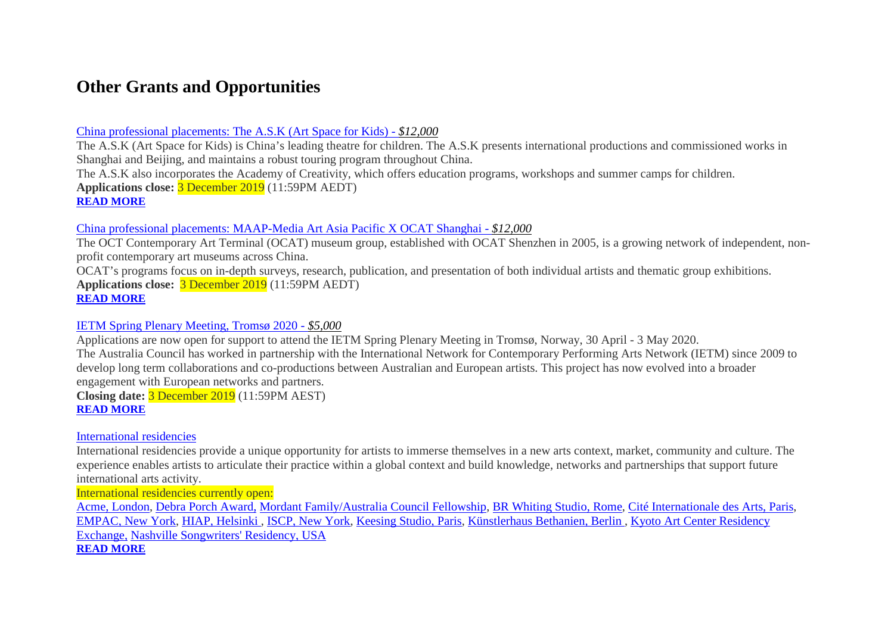### **Other Grants and Opportunities**

### China professional placements: The A.S.K (Art Space for Kids) - *\$12,000*

The A.S.K (Art Space for Kids) is China's leading theatre for children. The A.S.K presents international productions and commissioned works in Shanghai and Beijing, and maintains a robust touring program throughout China. The A.S.K also incorporates the Academy of Creativity, which offers education programs, workshops and summer camps for children.

**Applications close:** 3 December 2019 (11:59PM AEDT)

**[READ MORE](https://www.australiacouncil.gov.au/funding/funding-index/china-professional-placements-the-a-s-k-art-space-for-kids/)**

### China professional placements: MAAP-Media Art Asia Pacific X OCAT Shanghai - *\$12,000*

The OCT Contemporary Art Terminal (OCAT) museum group, established with OCAT Shenzhen in 2005, is a growing network of independent, nonprofit contemporary art museums across China.

OCAT's programs focus on in-depth surveys, research, publication, and presentation of both individual artists and thematic group exhibitions. **Applications close:** 3 December 2019 (11:59PM AEDT) **[READ MORE](https://www.australiacouncil.gov.au/funding/funding-index/china-professional-placements-maap-media-art-asia-pacific-x-ocat-shanghai/)**

### IETM Spring Plenary Meeting, Tromsø 2020 - *\$5,000*

Applications are now open for support to attend the IETM Spring Plenary Meeting in Tromsø, Norway, 30 April - 3 May 2020. The Australia Council has worked in partnership with the International Network for Contemporary Performing Arts Network (IETM) since 2009 to develop long term collaborations and co-productions between Australian and European artists. This project has now evolved into a broader engagement with European networks and partners.

**Closing date:** 3 December 2019 (11:59PM AEST) **[READ MORE](https://www.australiacouncil.gov.au/funding/funding-index/ietm-spring-plenary-meeting-tromso-2020/)**

### International residencies

International residencies provide a unique opportunity for artists to immerse themselves in a new arts context, market, community and culture. The experience enables artists to articulate their practice within a global context and build knowledge, networks and partnerships that support future international arts activity.

International residencies currently open:

[Acme, London,](https://www.australiacouncil.gov.au/international/ACME-London/) [Debra Porch Award,](https://www.australiacouncil.gov.au/international/debra-porch-award/) [Mordant Family/Australia Council Fellowship,](https://www.australiacouncil.gov.au/international/mordant-family-australia-council-affiliated-fellowship/) [BR Whiting Studio, Rome,](https://www.australiacouncil.gov.au/international/BR-Whiting-Studio-Rome/) [Cité Internationale des Arts, Paris,](https://www.australiacouncil.gov.au/international/Cit%C3%A9-Internationale-des-Arts-Paris/) [EMPAC, New York,](https://www.australiacouncil.gov.au/international/EMPAC-New-York/) [HIAP, Helsinki ,](https://www.australiacouncil.gov.au/international/HIAP-Helsinki/) [ISCP, New York,](https://www.australiacouncil.gov.au/programs-and-resources/iscp-new-york/) [Keesing Studio, Paris,](https://www.australiacouncil.gov.au/international/keesing-studio-paris/) [Künstlerhaus Bethanien, Berlin ,](https://www.australiacouncil.gov.au/international/kuenstlerhaus-bethanien/) [Kyoto Art Center Residency](https://www.australiacouncil.gov.au/international/Kyoto-Art-Center-Residency-Exchange/)  [Exchange,](https://www.australiacouncil.gov.au/international/Kyoto-Art-Center-Residency-Exchange/) [Nashville Songwriters' Residency, USA](https://www.australiacouncil.gov.au/international/nashville-songwriters-residency/)

### **[READ MORE](https://www.australiacouncil.gov.au/international/residencies/)**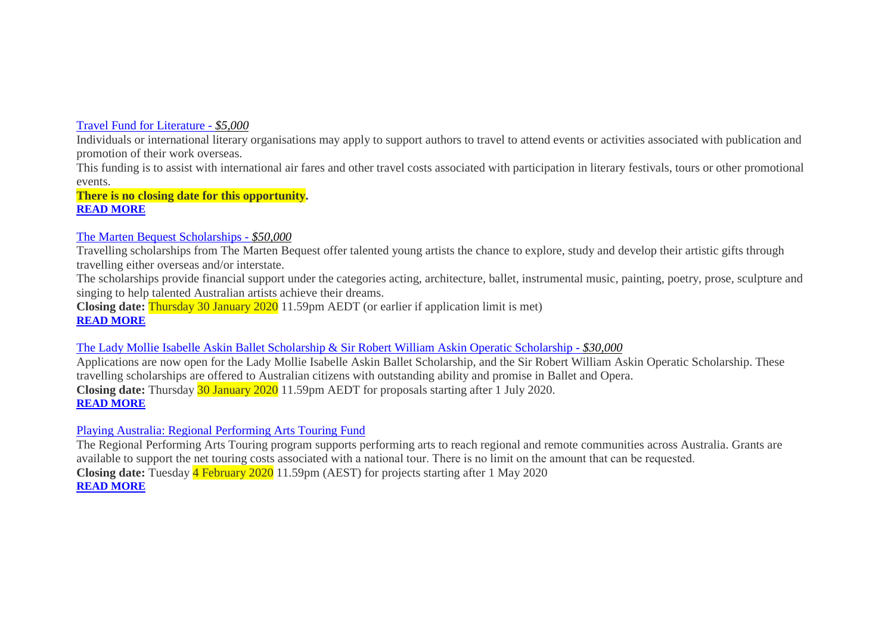### Travel Fund for Literature - *\$5,000*

Individuals or international literary organisations may apply to support authors to travel to attend events or activities associated with publication and promotion of their work overseas.

This funding is to assist with international air fares and other travel costs associated with participation in literary festivals, tours or other promotional events.

**There is no closing date for this opportunity. [READ MORE](https://www.australiacouncil.gov.au/funding/funding-index/travel-fund-for-literature/)**

### The Marten Bequest Scholarships - *\$50,000*

Travelling scholarships from The Marten Bequest offer talented young artists the chance to explore, study and develop their artistic gifts through travelling either overseas and/or interstate.

The scholarships provide financial support under the categories acting, architecture, ballet, instrumental music, painting, poetry, prose, sculpture and singing to help talented Australian artists achieve their dreams.

**Closing date:** Thursday 30 January 2020 11.59pm AEDT (or earlier if application limit is met) **[READ MORE](https://www.australiacouncil.gov.au/funding/funding-index/the-marten-bequest-scholarships/)**

### The Lady Mollie Isabelle Askin Ballet Scholarship & Sir Robert William Askin Operatic Scholarship - *\$30,000*

Applications are now open for the Lady Mollie Isabelle Askin Ballet Scholarship, and the Sir Robert William Askin Operatic Scholarship. These travelling scholarships are offered to Australian citizens with outstanding ability and promise in Ballet and Opera. **Closing date:** Thursday 30 January 2020 11.59pm AEDT for proposals starting after 1 July 2020. **[READ MORE](https://www.australiacouncil.gov.au/funding/funding-index/the-lady-mollie-isabelle-askin-ballet-scholarship-and-sir-robert-william-askin-operatic-scholarship/)**

### Playing Australia: Regional Performing Arts Touring Fund

The Regional Performing Arts Touring program supports performing arts to reach regional and remote communities across Australia. Grants are available to support the net touring costs associated with a national tour. There is no limit on the amount that can be requested.  **Closing date:** Tuesday 4 February 2020 11.59pm (AEST) for projects starting after 1 May 2020 **[READ MORE](https://www.australiacouncil.gov.au/funding/funding-index/playing-australia-regional-performing-arts-touring-fund/)**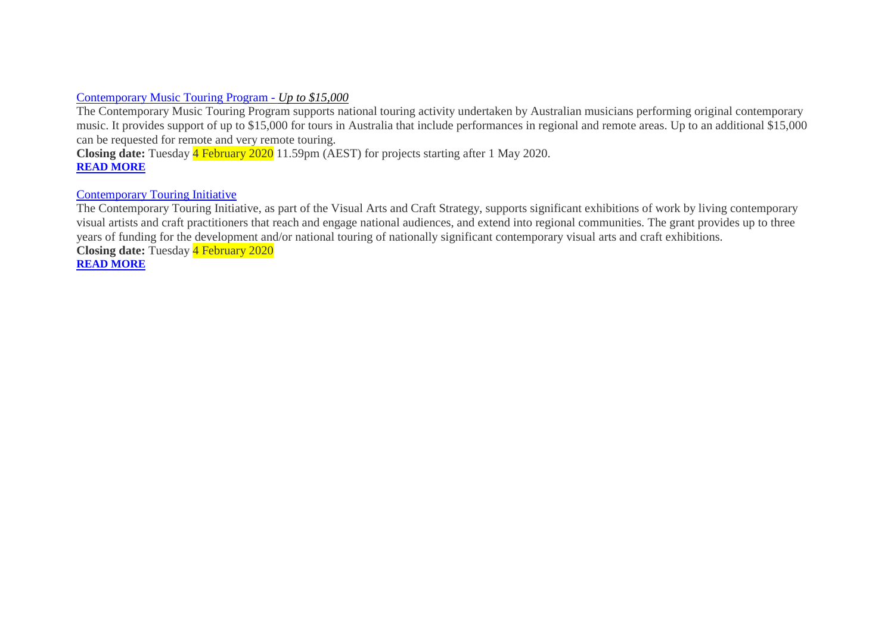### Contemporary Music Touring Program - *Up to \$15,000*

The Contemporary Music Touring Program supports national touring activity undertaken by Australian musicians performing original contemporary music. It provides support of up to \$15,000 for tours in Australia that include performances in regional and remote areas. Up to an additional \$15,000 can be requested for remote and very remote touring.

**Closing date:** Tuesday 4 February 2020 11.59pm (AEST) for projects starting after 1 May 2020. **[READ MORE](https://www.australiacouncil.gov.au/funding/funding-index/contemporary-music-touring-program/)**

### Contemporary Touring Initiative

The Contemporary Touring Initiative, as part of the Visual Arts and Craft Strategy, supports significant exhibitions of work by living contemporary visual artists and craft practitioners that reach and engage national audiences, and extend into regional communities. The grant provides up to three years of funding for the development and/or national touring of nationally significant contemporary visual arts and craft exhibitions.

**Closing date:** Tuesday 4 February 2020 **[READ MORE](https://www.australiacouncil.gov.au/funding/funding-index/contemporary-touring-initiative/)**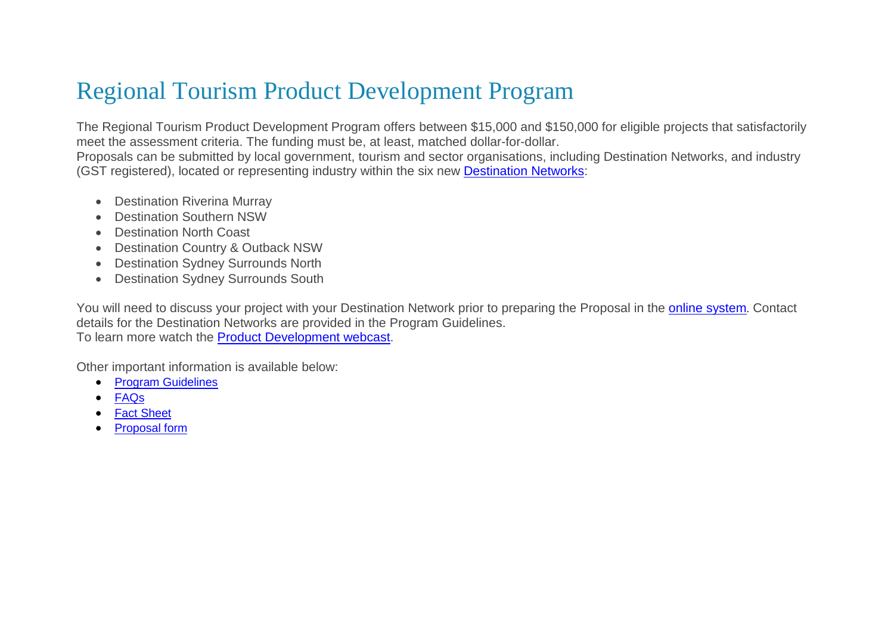### Regional Tourism Product Development Program

The Regional Tourism Product Development Program offers between \$15,000 and \$150,000 for eligible projects that satisfactorily meet the assessment criteria. The funding must be, at least, matched dollar-for-dollar.

Proposals can be submitted by local government, tourism and sector organisations, including Destination Networks, and industry (GST registered), located or representing industry within the six new [Destination Networks:](http://www.destinationnsw.com.au/our-industry/destination-networks)

- Destination Riverina Murray
- Destination Southern NSW
- Destination North Coast
- Destination Country & Outback NSW
- **Destination Sydney Surrounds North**
- Destination Sydney Surrounds South

You will need to discuss your project with your Destination Network prior to preparing the Proposal in the [online system](http://rtf.dnswextranet.com.au/)*.* Contact details for the Destination Networks are provided in the Program Guidelines.

To learn more watch the **Product Development webcast**.

Other important information is available below:

- [Program Guidelines](https://www.destinationnsw.com.au/wp-content/uploads/2016/12/170926_Guidelines_Product-Development_V6.pdf)
- [FAQs](https://www.destinationnsw.com.au/wp-content/uploads/2017/01/FAQ-Product-Development-v2.pdf)
- **[Fact Sheet](https://www.destinationnsw.com.au/wp-content/uploads/2016/12/170926_Fact-Sheet_Product-Development_V4.pdf)**
- [Proposal form](http://rtf.dnswextranet.com.au/)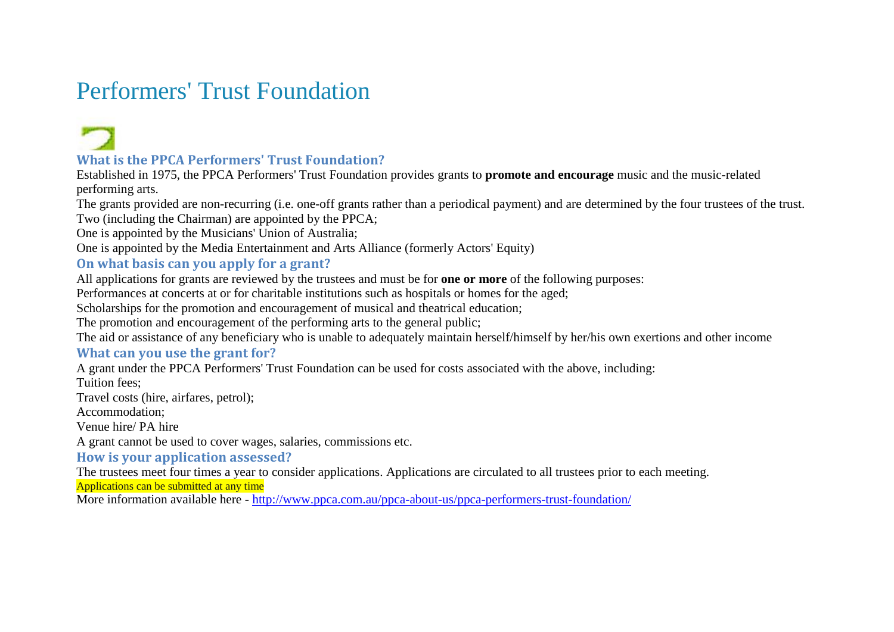### Performers' Trust Foundation

### **What is the PPCA Performers' Trust Foundation?**

Established in 1975, the PPCA Performers' Trust Foundation provides grants to **promote and encourage** music and the music-related performing arts.

The grants provided are non-recurring (i.e. one-off grants rather than a periodical payment) and are determined by the four trustees of the trust. Two (including the Chairman) are appointed by the PPCA;

One is appointed by the Musicians' Union of Australia;

One is appointed by the Media Entertainment and Arts Alliance (formerly Actors' Equity)

### **On what basis can you apply for a grant?**

All applications for grants are reviewed by the trustees and must be for **one or more** of the following purposes:

Performances at concerts at or for charitable institutions such as hospitals or homes for the aged;

Scholarships for the promotion and encouragement of musical and theatrical education;

The promotion and encouragement of the performing arts to the general public;

The aid or assistance of any beneficiary who is unable to adequately maintain herself/himself by her/his own exertions and other income

### **What can you use the grant for?**

A grant under the PPCA Performers' Trust Foundation can be used for costs associated with the above, including:

Tuition fees;

Travel costs (hire, airfares, petrol);

Accommodation;

Venue hire/ PA hire

A grant cannot be used to cover wages, salaries, commissions etc.

**How is your application assessed?**

The trustees meet four times a year to consider applications. Applications are circulated to all trustees prior to each meeting.

Applications can be submitted at any time

More information available here - <http://www.ppca.com.au/ppca-about-us/ppca-performers-trust-foundation/>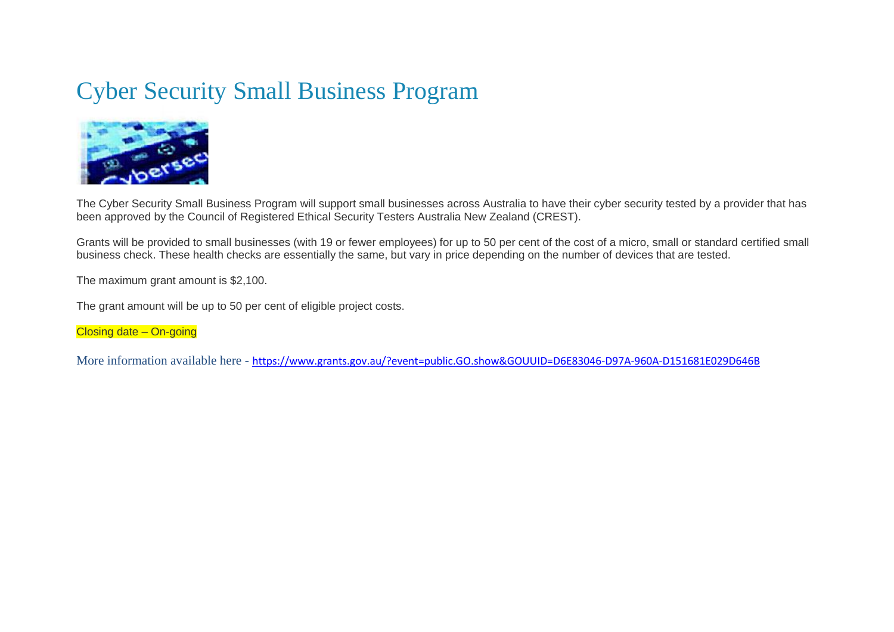### Cyber Security Small Business Program



The Cyber Security Small Business Program will support small businesses across Australia to have their cyber security tested by a provider that has been approved by the Council of Registered Ethical Security Testers Australia New Zealand (CREST).

Grants will be provided to small businesses (with 19 or fewer employees) for up to 50 per cent of the cost of a micro, small or standard certified small business check. These health checks are essentially the same, but vary in price depending on the number of devices that are tested.

The maximum grant amount is \$2,100.

The grant amount will be up to 50 per cent of eligible project costs.

Closing date – On-going

More information available here - <https://www.grants.gov.au/?event=public.GO.show&GOUUID=D6E83046-D97A-960A-D151681E029D646B>